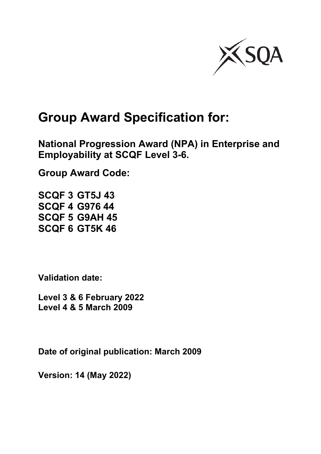

# **Group Award Specification for:**

**National Progression Award (NPA) in Enterprise and Employability at SCQF Level 3-6.**

**Group Award Code:**

**SCQF 3 GT5J 43 SCQF 4 G976 44 SCQF 5 G9AH 45 SCQF 6 GT5K 46**

**Validation date:** 

**Level 3 & 6 February 2022 Level 4 & 5 March 2009**

**Date of original publication: March 2009**

**Version: 14 (May 2022)**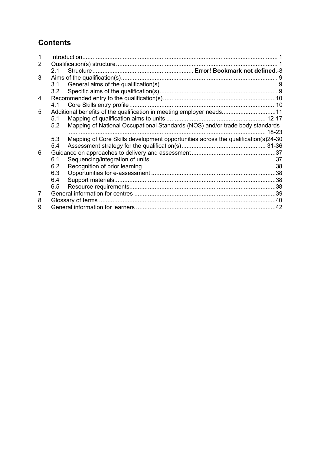# **Contents**

|   | 21  |                                                                                   |  |
|---|-----|-----------------------------------------------------------------------------------|--|
| 3 |     |                                                                                   |  |
|   |     |                                                                                   |  |
|   | 3.2 |                                                                                   |  |
| 4 |     |                                                                                   |  |
|   | 4.1 |                                                                                   |  |
| 5 |     | Additional benefits of the qualification in meeting employer needs11              |  |
|   | 5.1 |                                                                                   |  |
|   | 5.2 | Mapping of National Occupational Standards (NOS) and/or trade body standards      |  |
|   |     |                                                                                   |  |
|   | 5.3 | Mapping of Core Skills development opportunities across the qualification(s)24-30 |  |
|   | 5.4 |                                                                                   |  |
| 6 |     |                                                                                   |  |
|   | 6.1 |                                                                                   |  |
|   | 6.2 |                                                                                   |  |
|   | 6.3 |                                                                                   |  |
|   | 6.4 |                                                                                   |  |
|   | 6.5 |                                                                                   |  |
| 7 |     |                                                                                   |  |
| 8 |     |                                                                                   |  |
| 9 |     |                                                                                   |  |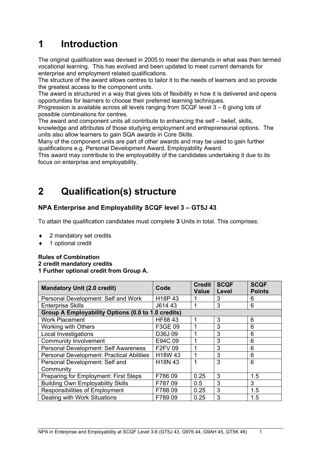# <span id="page-2-0"></span>**1 Introduction**

The original qualification was devised in 2005 to meet the demands in what was then termed vocational learning. This has evolved and been updated to meet current demands for enterprise and employment related qualifications.

The structure of the award allows centres to tailor it to the needs of learners and so provide the greatest access to the component units.

The award is structured in a way that gives lots of flexibility in how it is delivered and opens opportunities for learners to choose their preferred learning techniques.

Progression is available across all levels ranging from  $SCQF$  level  $3 - 6$  giving lots of possible combinations for centres.

The award and component units all contribute to enhancing the self – belief, skills, knowledge and attributes of those studying employment and entrepreneurial options. The units also allow learners to gain SQA awards in Core Skills.

Many of the component units are part of other awards and may be used to gain further qualifications e.g. Personal Development Award, Employability Award.

This award may contribute to the employability of the candidates undertaking it due to its focus on enterprise and employability.

# <span id="page-2-1"></span>**2 Qualification(s) structure**

### **NPA Enterprise and Employability SCQF level 3 – GT5J 43**

To attain the qualification candidates must complete **3** Units in total. This comprises:

- 2 mandatory set credits
- 1 optional credit

**Rules of Combination 2 credit mandatory credits 1 Further optional credit from Group A.**

| <b>Mandatory Unit (2.0 credit)</b>                 | Code                            | <b>Credit</b><br><b>Value</b> | <b>SCQF</b><br>Level | <b>SCQF</b><br><b>Points</b> |
|----------------------------------------------------|---------------------------------|-------------------------------|----------------------|------------------------------|
| Personal Development: Self and Work                | H <sub>18</sub> P <sub>43</sub> |                               | 3                    | 6                            |
| <b>Enterprise Skills</b>                           | J614 43                         |                               | 3                    | 6                            |
| Group A Employability Options (0.0 to 1.0 credits) |                                 |                               |                      |                              |
| <b>Work Placement</b>                              | HF88 43                         | 1                             | 3                    | 6                            |
| <b>Working with Others</b>                         | F3GE 09                         | 1                             | 3                    | 6                            |
| <b>Local Investigations</b>                        | D36J09                          |                               | 3                    | 6                            |
| <b>Community Involvement</b>                       | E94C 09                         |                               | 3                    | 6                            |
| Personal Development: Self Awareness               | <b>F2FV 09</b>                  | 1                             | 3                    | 6                            |
| Personal Development: Practical Abilities          | H18W 43                         | 1                             | 3                    | 6                            |
| Personal Development: Self and                     | H <sub>18</sub> N 43            | 1                             | 3                    | 6                            |
| Community                                          |                                 |                               |                      |                              |
| <b>Preparing for Employment: First Steps</b>       | F78609                          | 0.25                          | 3                    | 1.5                          |
| <b>Building Own Employability Skills</b>           | F78709                          | 0.5                           | 3                    | 3                            |
| <b>Responsibilities of Employment</b>              | F78809                          | 0.25                          | 3                    | 1.5                          |
| Dealing with Work Situations                       | F78909                          | 0.25                          | 3                    | 1.5                          |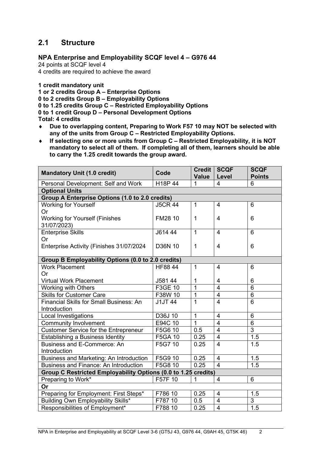## **2.1 Structure**

#### **NPA Enterprise and Employability SCQF level 4 – G976 44**

24 points at SCQF level 4

4 credits are required to achieve the award

**1 credit mandatory unit**

**1 or 2 credits Group A – Enterprise Options**

**0 to 2 credits Group B – Employability Options**

**0 to 1.25 credits Group C – Restricted Employability Options**

**0 to 1 credit Group D – Personal Development Options**

**Total: 4 credits**

- ♦ **Due to overlapping content, Preparing to Work F57 10 may NOT be selected with any of the units from Group C – Restricted Employability Options.**
- ♦ **If selecting one or more units from Group C – Restricted Employability, it is NOT mandatory to select all of them. If completing all of them, learners should be able to carry the 1.25 credit towards the group award.**

| <b>Mandatory Unit (1.0 credit)</b>                             | Code           | Credit  <br><b>Value</b> | <b>SCQF</b><br>Level | <b>SCQF</b><br><b>Points</b> |  |
|----------------------------------------------------------------|----------------|--------------------------|----------------------|------------------------------|--|
| Personal Development: Self and Work                            | H18P 44        | 1                        | 4                    | 6                            |  |
| <b>Optional Units</b>                                          |                |                          |                      |                              |  |
| <b>Group A Enterprise Options (1.0 to 2.0 credits)</b>         |                |                          |                      |                              |  |
| <b>Working for Yourself</b>                                    | <b>J5CR 44</b> | 1                        | $\overline{4}$       | 6                            |  |
| Or                                                             |                |                          |                      |                              |  |
| <b>Working for Yourself (Finishes</b><br>31/07/2023)           | FM28 10        | 1                        | 4                    | 6                            |  |
| <b>Enterprise Skills</b>                                       | J614 44        | $\mathbf{1}$             | $\overline{4}$       | 6                            |  |
| Or                                                             |                |                          |                      |                              |  |
| Enterprise Activity (Finishes 31/07/2024                       | <b>D36N 10</b> | 1                        | 4                    | 6                            |  |
|                                                                |                |                          |                      |                              |  |
| Group B Employability Options (0.0 to 2.0 credits)             |                |                          |                      |                              |  |
| <b>Work Placement</b>                                          | <b>HF8844</b>  | 1                        | $\overline{4}$       | 6                            |  |
| Or                                                             |                |                          |                      |                              |  |
| <b>Virtual Work Placement</b>                                  | J581 44        | 1                        | $\overline{4}$       | 6                            |  |
| <b>Working with Others</b>                                     | F3GE 10        | $\overline{1}$           | $\overline{4}$       | $\overline{6}$               |  |
| <b>Skills for Customer Care</b>                                | F38W 10        | 1                        | $\overline{4}$       | $6\phantom{1}$               |  |
| <b>Financial Skills for Small Business: An</b>                 | <b>J1JT 44</b> | $\mathbf{1}$             | $\overline{4}$       | 6                            |  |
| Introduction                                                   |                |                          |                      |                              |  |
| Local Investigations                                           | D36J 10        | 1                        | $\overline{4}$       | $6\phantom{1}6$              |  |
| <b>Community Involvement</b>                                   | E94C 10        | $\mathbf{1}$             | $\overline{4}$       | 6                            |  |
| <b>Customer Service for the Entrepreneur</b>                   | F5G6 10        | 0.5                      | $\overline{4}$       | 3                            |  |
| Establishing a Business Identity                               | F5GA 10        | 0.25                     | $\overline{4}$       | 1.5                          |  |
| Business and E-Commerce: An                                    | F5G7 10        | 0.25                     | $\overline{4}$       | 1.5                          |  |
| Introduction                                                   |                |                          |                      |                              |  |
| Business and Marketing: An Introduction                        | F5G9 10        | 0.25                     | $\overline{4}$       | 1.5                          |  |
| Business and Finance: An Introduction                          | F5G8 10        | 0.25                     | $\overline{4}$       | $\overline{1.5}$             |  |
| Group C Restricted Employability Options (0.0 to 1.25 credits) |                |                          |                      |                              |  |
| Preparing to Work*                                             | F57F 10        | 1                        | $\overline{4}$       | 6                            |  |
| Or                                                             |                |                          |                      |                              |  |
| Preparing for Employment: First Steps*                         | F786 10        | 0.25                     | $\overline{4}$       | 1.5                          |  |
| Building Own Employability Skills*                             | F787 10        | 0.5                      | $\overline{4}$       | $\ensuremath{\mathsf{3}}$    |  |
| Responsibilities of Employment*                                | F788 10        | 0.25                     | $\overline{4}$       | 1.5                          |  |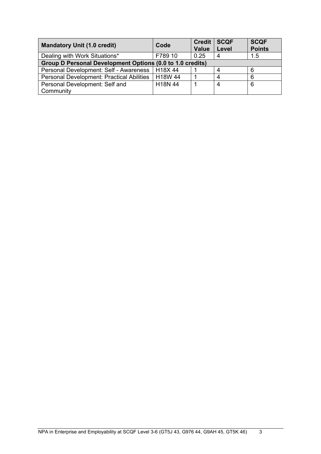| <b>Mandatory Unit (1.0 credit)</b>                        | Code    | Credit  <br><b>Value</b> | <b>SCQF</b><br>Level | <b>SCQF</b><br><b>Points</b> |
|-----------------------------------------------------------|---------|--------------------------|----------------------|------------------------------|
| Dealing with Work Situations*                             | F789 10 | 0.25                     |                      | 1.5                          |
| Group D Personal Development Options (0.0 to 1.0 credits) |         |                          |                      |                              |
| Personal Development: Self - Awareness                    | H18X44  |                          |                      | 6                            |
| <b>Personal Development: Practical Abilities</b>          | H18W 44 |                          |                      | 6                            |
| Personal Development: Self and                            | H18N 44 |                          |                      | 6                            |
| Community                                                 |         |                          |                      |                              |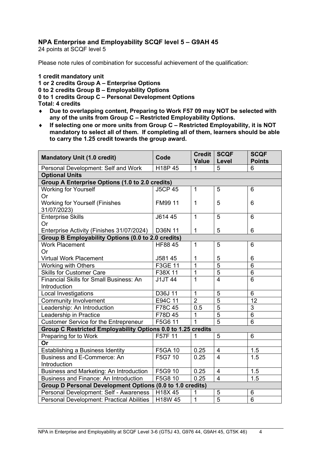#### **NPA Enterprise and Employability SCQF level 5 – G9AH 45**

24 points at SCQF level 5

Please note rules of combination for successful achievement of the qualification:

#### **1 credit mandatory unit**

**1 or 2 credits Group A – Enterprise Options 0 to 2 credits Group B – Employability Options 0 to 1 credits Group C – Personal Development Options Total: 4 credits**

- ♦ **Due to overlapping content, Preparing to Work F57 09 may NOT be selected with any of the units from Group C – Restricted Employability Options.**
- ♦ **If selecting one or more units from Group C – Restricted Employability, it is NOT mandatory to select all of them. If completing all of them, learners should be able to carry the 1.25 credit towards the group award.**

| <b>Mandatory Unit (1.0 credit)</b>                           | Code           | <b>Credit</b><br><b>Value</b> | <b>SCQF</b><br>Level | <b>SCQF</b><br><b>Points</b> |
|--------------------------------------------------------------|----------------|-------------------------------|----------------------|------------------------------|
| Personal Development: Self and Work                          | H18P 45        | 1                             | 5                    | 6                            |
| <b>Optional Units</b>                                        |                |                               |                      |                              |
| <b>Group A Enterprise Options (1.0 to 2.0 credits)</b>       |                |                               |                      |                              |
| <b>Working for Yourself</b>                                  | <b>J5CP 45</b> | $\mathbf{1}$                  | 5                    | $6\phantom{1}6$              |
| Or                                                           |                |                               |                      |                              |
| <b>Working for Yourself (Finishes</b>                        | FM99 11        | $\mathbf 1$                   | 5                    | 6                            |
| 31/07/2023)                                                  |                |                               |                      |                              |
| <b>Enterprise Skills</b>                                     | J614 45        | $\mathbf{1}$                  | 5                    | $6\phantom{1}6$              |
| Or                                                           |                |                               |                      |                              |
| Enterprise Activity (Finishes 31/07/2024)                    | D36N 11        | 1                             | 5                    | 6                            |
| Group B Employability Options (0.0 to 2.0 credits)           |                |                               |                      |                              |
| <b>Work Placement</b>                                        | HF88 45        | $\mathbf{1}$                  | 5                    | $6\phantom{1}6$              |
| <b>Or</b>                                                    |                |                               |                      |                              |
| <b>Virtual Work Placement</b>                                | J581 45        | 1                             | 5                    | 6                            |
| Working with Others                                          | F3GE 11        | $\overline{1}$                | $\overline{5}$       | $\overline{6}$               |
| <b>Skills for Customer Care</b>                              | F38X 11        | 1                             | $\overline{5}$       | $6\phantom{1}6$              |
| <b>Financial Skills for Small Business: An</b>               | <b>J1JT 44</b> | $\overline{1}$                | $\overline{4}$       | $\overline{6}$               |
| Introduction                                                 |                |                               |                      |                              |
| <b>Local Investigations</b>                                  | D36J 11        | $\mathbf{1}$                  | 5                    | $6\phantom{1}6$              |
| <b>Community Involvement</b>                                 | E94C 11        | $\overline{2}$                | $\overline{5}$       | $\overline{12}$              |
| Leadership: An Introduction                                  | F78C 45        | 0.5                           | $\overline{5}$       | 3                            |
| Leadership in Practice                                       | F78D 45        | 1                             | 5                    | $6\phantom{1}6$              |
| <b>Customer Service for the Entrepreneur</b>                 | F5G6 11        | 1                             | $\overline{5}$       | 6                            |
| Group C Restricted Employability Options 0.0 to 1.25 credits |                |                               |                      |                              |
| Preparing for to Work                                        | F57F 11        |                               | 5                    | $6\phantom{1}6$              |
| Or                                                           |                |                               |                      |                              |
| Establishing a Business Identity                             | F5GA 10        | 0.25                          | 4                    | 1.5                          |
| Business and E-Commerce: An                                  | F5G7 10        | 0.25                          | $\overline{4}$       | 1.5                          |
| Introduction                                                 |                |                               |                      |                              |
| Business and Marketing: An Introduction                      | F5G9 10        | 0.25                          | $\overline{4}$       | 1.5                          |
| Business and Finance: An Introduction                        | F5G8 10        | 0.25                          | $\overline{4}$       | 1.5                          |
| Group D Personal Development Options (0.0 to 1.0 credits)    |                |                               |                      |                              |
| Personal Development: Self - Awareness                       | H18X 45        | 1                             | 5                    | $6\phantom{1}6$              |
| <b>Personal Development: Practical Abilities</b>             | H18W 45        | $\overline{1}$                | $\overline{5}$       | $6\phantom{1}6$              |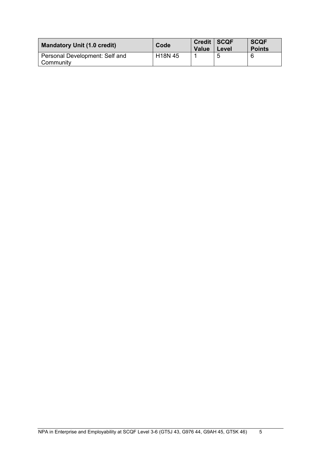| <b>Mandatory Unit (1.0 credit)</b>          | Code                 | Credit   SCQF<br><b>Value</b> | Level | <b>SCQF</b><br><b>Points</b> |  |  |
|---------------------------------------------|----------------------|-------------------------------|-------|------------------------------|--|--|
| Personal Development: Self and<br>Community | H <sub>18</sub> N 45 |                               |       |                              |  |  |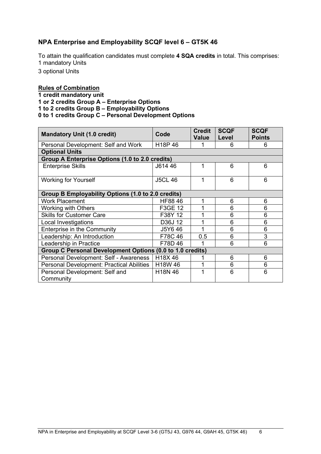#### **NPA Enterprise and Employability SCQF level 6 – GT5K 46**

To attain the qualification candidates must complete **4 SQA credits** in total. This comprises: 1 mandatory Units

3 optional Units

#### **Rules of Combination**

**1 credit mandatory unit 1 or 2 credits Group A – Enterprise Options 1 to 2 credits Group B – Employability Options 0 to 1 credits Group C – Personal Development Options**

| <b>Mandatory Unit (1.0 credit)</b>                        | Code                            | <b>Credit</b><br><b>Value</b> | <b>SCQF</b><br>Level | <b>SCQF</b><br><b>Points</b> |  |  |  |  |  |  |  |  |
|-----------------------------------------------------------|---------------------------------|-------------------------------|----------------------|------------------------------|--|--|--|--|--|--|--|--|
| Personal Development: Self and Work                       | H <sub>18</sub> P <sub>46</sub> | 1                             | 6                    | 6                            |  |  |  |  |  |  |  |  |
| <b>Optional Units</b>                                     |                                 |                               |                      |                              |  |  |  |  |  |  |  |  |
| Group A Enterprise Options (1.0 to 2.0 credits)           |                                 |                               |                      |                              |  |  |  |  |  |  |  |  |
| <b>Enterprise Skills</b>                                  | J614 46                         | 1                             | 6                    | 6                            |  |  |  |  |  |  |  |  |
| <b>Working for Yourself</b>                               | <b>J5CL 46</b>                  | 1                             | 6                    | 6                            |  |  |  |  |  |  |  |  |
| Group B Employability Options (1.0 to 2.0 credits)        |                                 |                               |                      |                              |  |  |  |  |  |  |  |  |
| <b>Work Placement</b>                                     | HF88 46                         | 1                             | 6                    | 6                            |  |  |  |  |  |  |  |  |
| <b>Working with Others</b>                                | F3GE 12                         |                               | 6                    | 6                            |  |  |  |  |  |  |  |  |
| <b>Skills for Customer Care</b>                           | F38Y 12                         | 1                             | 6                    | 6                            |  |  |  |  |  |  |  |  |
| Local Investigations                                      | D36J 12                         |                               | 6                    | 6                            |  |  |  |  |  |  |  |  |
| <b>Enterprise in the Community</b>                        | J5Y6 46                         | 1                             | 6                    | 6                            |  |  |  |  |  |  |  |  |
| Leadership: An Introduction                               | F78C46                          | 0.5                           | 6                    | 3                            |  |  |  |  |  |  |  |  |
| Leadership in Practice                                    | F78D 46                         | 1                             | 6                    | 6                            |  |  |  |  |  |  |  |  |
| Group C Personal Development Options (0.0 to 1.0 credits) |                                 |                               |                      |                              |  |  |  |  |  |  |  |  |
| Personal Development: Self - Awareness                    | H18X46                          | 1                             | 6                    | 6                            |  |  |  |  |  |  |  |  |
| Personal Development: Practical Abilities                 | H18W 46                         |                               | 6                    | 6                            |  |  |  |  |  |  |  |  |
| Personal Development: Self and<br>Community               | H18N 46                         |                               | 6                    | 6                            |  |  |  |  |  |  |  |  |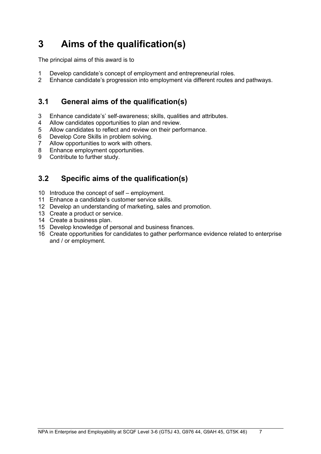# <span id="page-8-0"></span>**3 Aims of the qualification(s)**

The principal aims of this award is to

- 1 Develop candidate's concept of employment and entrepreneurial roles.<br>2 Enhance candidate's progression into employment via different routes a
- 2 Enhance candidate's progression into employment via different routes and pathways.

## <span id="page-8-1"></span>**3.1 General aims of the qualification(s)**

- 3 Enhance candidate's' self-awareness; skills, qualities and attributes.
- 4 Allow candidates opportunities to plan and review.<br>5 Allow candidates to reflect and review on their perf
- 5 Allow candidates to reflect and review on their performance.<br>6 Develop Core Skills in problem solving.
- Develop Core Skills in problem solving.
- 7 Allow opportunities to work with others.<br>8 Enhance employment opportunities.
- 8 Enhance employment opportunities.<br>9 Contribute to further study.
- Contribute to further study.

## <span id="page-8-2"></span>**3.2 Specific aims of the qualification(s)**

- 10 Introduce the concept of self employment.
- 11 Enhance a candidate's customer service skills.
- 12 Develop an understanding of marketing, sales and promotion.
- 13 Create a product or service.
- 14 Create a business plan.
- 15 Develop knowledge of personal and business finances.
- 16 Create opportunities for candidates to gather performance evidence related to enterprise and / or employment.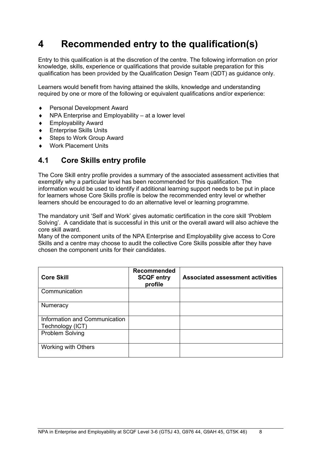# <span id="page-9-0"></span>**4 Recommended entry to the qualification(s)**

Entry to this qualification is at the discretion of the centre. The following information on prior knowledge, skills, experience or qualifications that provide suitable preparation for this qualification has been provided by the Qualification Design Team (QDT) as guidance only.

Learners would benefit from having attained the skills, knowledge and understanding required by one or more of the following or equivalent qualifications and/or experience:

- ♦ Personal Development Award
- NPA Enterprise and Employability  $-$  at a lower level
- **Employability Award**
- ♦ Enterprise Skills Units
- Steps to Work Group Award
- Work Placement Units

### <span id="page-9-1"></span>**4.1 Core Skills entry profile**

The Core Skill entry profile provides a summary of the associated assessment activities that exemplify why a particular level has been recommended for this qualification. The information would be used to identify if additional learning support needs to be put in place for learners whose Core Skills profile is below the recommended entry level or whether learners should be encouraged to do an alternative level or learning programme.

The mandatory unit 'Self and Work' gives automatic certification in the core skill 'Problem Solving'. A candidate that is successful in this unit or the overall award will also achieve the core skill award.

Many of the component units of the NPA Enterprise and Employability give access to Core Skills and a centre may choose to audit the collective Core Skills possible after they have chosen the component units for their candidates.

| <b>Core Skill</b>                                 | <b>Recommended</b><br><b>SCQF entry</b><br>profile | <b>Associated assessment activities</b> |
|---------------------------------------------------|----------------------------------------------------|-----------------------------------------|
| Communication                                     |                                                    |                                         |
| Numeracy                                          |                                                    |                                         |
| Information and Communication<br>Technology (ICT) |                                                    |                                         |
| <b>Problem Solving</b>                            |                                                    |                                         |
| Working with Others                               |                                                    |                                         |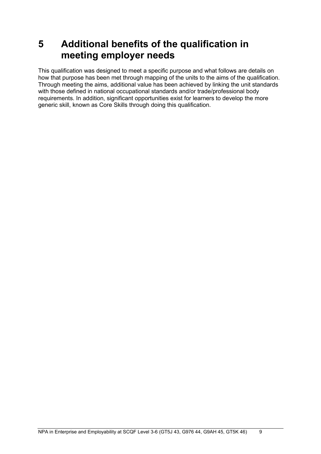# <span id="page-10-0"></span>**5 Additional benefits of the qualification in meeting employer needs**

This qualification was designed to meet a specific purpose and what follows are details on how that purpose has been met through mapping of the units to the aims of the qualification. Through meeting the aims, additional value has been achieved by linking the unit standards with those defined in national occupational standards and/or trade/professional body requirements. In addition, significant opportunities exist for learners to develop the more generic skill, known as Core Skills through doing this qualification.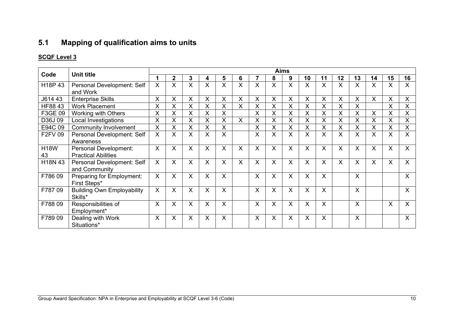# **5.1 Mapping of qualification aims to units**

<span id="page-11-1"></span><span id="page-11-0"></span>

| Code        |                                              |          |              |   |   |   |   |   |         | <b>Aims</b>  |    |                           |              |    |                           |    |              |
|-------------|----------------------------------------------|----------|--------------|---|---|---|---|---|---------|--------------|----|---------------------------|--------------|----|---------------------------|----|--------------|
|             | <b>Unit title</b>                            |          | $\mathbf{2}$ | 3 | 4 | 5 | 6 |   | 8       | 9            | 10 | 11                        | 12           | 13 | 14                        | 15 | 16           |
| H18P 43     | Personal Development: Self<br>and Work       | X        | X.           | X | X | X | X | X | X       | X            | X  | $\sf X$                   | X.           | X  | $\sf X$                   | X  | X            |
| J614 43     | <b>Enterprise Skills</b>                     | X        | X            | X | X | X | X | Χ | X       | X            | X  | $\boldsymbol{\mathsf{X}}$ | X            | X  | X                         | X  | X            |
| HF88 43     | <b>Work Placement</b>                        | X        | X            | X | X | X | X | X | X       | X            | X  | X                         | X            | X  |                           | X  | X            |
| F3GE 09     | <b>Working with Others</b>                   | X        | X            | X | X | X |   | X | X       | X            | X  | X                         | X            | X  | X                         | X  | X            |
| D36J09      | Local Investigations                         | X        | X            | X | X | X | X | X | X       | X            | X  | $\boldsymbol{\mathsf{X}}$ | Χ            | X  | X                         | X  | X            |
| E94C 09     | <b>Community Involvement</b>                 | $\times$ | $\mathsf{X}$ | X | X | X |   | X | X       | X            | X  | $\boldsymbol{\mathsf{X}}$ | Χ            | X  | $\boldsymbol{\mathsf{X}}$ | X  | X            |
| F2FV 09     | Personal Development: Self                   | X        | X.           | X | X | X |   | X | X       | X            | X  | X                         | X            | X  | X                         | X  | X            |
|             | Awareness                                    |          |              |   |   |   |   |   |         |              |    |                           |              |    |                           |    |              |
| <b>H18W</b> | <b>Personal Development:</b>                 | $\sf X$  | $\mathsf{X}$ | X | X | X | X | X | $\sf X$ | $\sf X$      | X  | $\sf X$                   | X            | X  | $\sf X$                   | X  | X            |
| 43          | <b>Practical Abilities</b>                   |          |              |   |   |   |   |   |         |              |    |                           |              |    |                           |    |              |
| H18N 43     | Personal Development: Self<br>and Community  | X        | X.           | X | X | X | X | X | X       | $\mathsf{X}$ | X  | X                         | $\mathsf{X}$ | X  | $\sf X$                   | X  | $\mathsf{X}$ |
| F78609      | Preparing for Employment:<br>First Steps*    | $\sf X$  | $\mathsf{X}$ | X | X | X |   | X | $\sf X$ | $\mathsf{X}$ | X  | X                         |              | X  |                           |    | X            |
| F78709      | <b>Building Own Employability</b><br>Skills* | X        | $\mathsf{X}$ | X | X | X |   | X | $\sf X$ | X            | X  | X                         |              | X  |                           |    | X            |
| F78809      | Responsibilities of<br>Employment*           | X        | X.           | Χ | X | X |   | X | $\sf X$ | X            | X  | X                         |              | X  |                           | X  | X            |
| F78909      | Dealing with Work<br>Situations*             | $\times$ | $\mathsf{X}$ | X | X | X |   | X | $\sf X$ | X            | X  | $\sf X$                   |              | X  |                           |    | X            |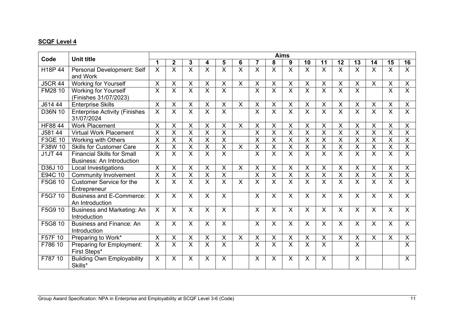|                |                                                                       |                           |                         |                           |                           |                           |                           |                           |                         | <b>Aims</b>             |                           |                           |                         |                         |                           |                           |                         |
|----------------|-----------------------------------------------------------------------|---------------------------|-------------------------|---------------------------|---------------------------|---------------------------|---------------------------|---------------------------|-------------------------|-------------------------|---------------------------|---------------------------|-------------------------|-------------------------|---------------------------|---------------------------|-------------------------|
| Code           | <b>Unit title</b>                                                     | 1                         | $\overline{2}$          | 3                         | 4                         | 5                         | 6                         | $\overline{7}$            | 8                       | 9                       | 10                        | 11                        | 12                      | 13                      | 14                        | 15                        | 16                      |
| H18P 44        | Personal Development: Self<br>and Work                                | X                         | X                       | X                         | $\mathsf X$               | X                         | X                         | X                         | X                       | X                       | X                         | X                         | X                       | X                       | X                         | X                         | X                       |
| <b>J5CR 44</b> | <b>Working for Yourself</b>                                           | $\times$                  | X                       | X                         | X                         | X                         | $\boldsymbol{\mathsf{X}}$ | X                         | X                       | $\mathsf{X}$            | X                         | X                         | $\mathsf{X}$            | X                       | X                         | X                         | X                       |
| FM28 10        | <b>Working for Yourself</b><br>(Finishes 31/07/2023)                  | X                         | $\mathsf{X}$            | X                         | X                         | $\sf X$                   |                           | X                         | $\mathsf{X}$            | X                       | X                         | $\sf X$                   | $\mathsf{X}$            | X                       |                           | $\pmb{\times}$            | X                       |
| J614 44        | <b>Enterprise Skills</b>                                              | $\times$                  | Χ                       | $\times$                  | X                         | X                         | $\pmb{\times}$            | X                         | $\mathsf X$             | $\pmb{\times}$          | $\sf X$                   | X                         | X                       | X                       | X                         | X                         | $\sf X$                 |
| D36N 10        | <b>Enterprise Activity (Finishes</b><br>31/07/2024                    | X                         | X                       | X                         | X                         | X                         |                           | X                         | $\overline{\mathsf{x}}$ | $\overline{\mathsf{x}}$ | X                         | X                         | $\overline{\mathsf{x}}$ | X                       | $\sf X$                   | X                         | X                       |
| <b>HF88 44</b> | <b>Work Placement</b>                                                 | $\boldsymbol{\mathsf{X}}$ | X                       | X                         | X                         | X                         | X                         | Χ                         | X                       | X                       | X                         | X                         | X                       | X                       | X                         | X                         | X                       |
| J581 44        | <b>Virtual Work Placement</b>                                         | $\overline{\mathsf{x}}$   | $\overline{X}$          | $\overline{\mathsf{X}}$   | $\overline{\mathsf{x}}$   | $\overline{\mathsf{x}}$   |                           | $\overline{\mathsf{x}}$   | $\overline{X}$          | $\overline{\mathsf{x}}$ | $\overline{X}$            | $\overline{X}$            | X                       | $\overline{\mathsf{x}}$ | $\overline{X}$            | $\mathsf X$               | $\overline{\mathsf{X}}$ |
| F3GE 10        | Working with Others                                                   | X                         | $\overline{X}$          | X                         | X                         | $\overline{\mathsf{x}}$   |                           | X                         | $\overline{X}$          | $\overline{X}$          | X                         | $\overline{X}$            | $\overline{X}$          | X                       | $\sf X$                   | X                         | $\overline{\mathsf{X}}$ |
| F38W 10        | <b>Skills for Customer Care</b>                                       | X                         | X                       | $\sf X$                   | $\overline{X}$            | $\overline{X}$            | $\boldsymbol{\mathsf{X}}$ | X                         | $\overline{X}$          | $\overline{X}$          | X                         | $\sf X$                   | X                       | X                       | $\sf X$                   | X                         | $\sf X$                 |
| <b>J1JT 44</b> | <b>Financial Skills for Small</b><br><b>Business: An Introduction</b> | $\overline{\mathsf{x}}$   | X                       | $\overline{\mathsf{x}}$   | $\overline{\mathsf{x}}$   | X                         |                           | X                         | $\overline{\mathsf{x}}$ | $\overline{\mathsf{x}}$ | X                         | $\overline{\mathsf{x}}$   | $\overline{X}$          | X                       | $\overline{\mathsf{x}}$   | X                         | $\overline{\mathsf{x}}$ |
| D36J 10        | Local Investigations                                                  | $\boldsymbol{\mathsf{X}}$ | $\mathsf{X}$            | $\times$                  | $\boldsymbol{\mathsf{X}}$ | $\boldsymbol{\mathsf{X}}$ | X                         | X                         | X                       | X                       | $\boldsymbol{\mathsf{X}}$ | $\boldsymbol{\mathsf{X}}$ | $\mathsf{X}$            | X                       | $\boldsymbol{\mathsf{X}}$ | X                         | X                       |
| E94C 10        | <b>Community Involvement</b>                                          | $\times$                  | X                       | $\overline{X}$            | $\pmb{\times}$            | $\overline{\mathsf{x}}$   |                           | X                         | $\mathsf X$             | $\overline{X}$          | X                         | $\times$                  | $\overline{\mathsf{x}}$ | X                       | $\mathsf X$               | X                         | $\overline{X}$          |
| F5G6 10        | <b>Customer Service for the</b><br>Entrepreneur                       | $\overline{\mathsf{x}}$   | $\overline{\mathsf{x}}$ | $\overline{\mathsf{x}}$   | $\overline{\mathsf{x}}$   | $\overline{\mathsf{x}}$   | $\overline{\mathsf{x}}$   | $\overline{\mathsf{x}}$   | $\overline{\mathsf{X}}$ | $\overline{\mathsf{x}}$ | $\overline{\mathsf{x}}$   | $\overline{\mathsf{x}}$   | $\overline{\mathsf{x}}$ | $\overline{\mathsf{X}}$ | $\overline{\mathsf{x}}$   | $\overline{\mathsf{X}}$   | X                       |
| F5G7 10        | <b>Business and E-Commerce:</b><br>An Introduction                    | $\times$                  | $\mathsf{X}$            | X                         | X                         | $\sf X$                   |                           | X                         | X                       | X                       | X                         | X                         | X                       | X                       | X                         | X                         | $\mathsf{X}$            |
| F5G9 10        | Business and Marketing: An<br>Introduction                            | X                         | $\mathsf{X}$            | X                         | $\boldsymbol{\mathsf{X}}$ | X                         |                           | $\boldsymbol{\mathsf{X}}$ | $\sf X$                 | X                       | $\boldsymbol{\mathsf{X}}$ | $\boldsymbol{\mathsf{X}}$ | $\mathsf{X}$            | $\mathsf{X}$            | X                         | $\boldsymbol{\mathsf{X}}$ | $\mathsf{X}$            |
| F5G8 10        | <b>Business and Finance: An</b><br>Introduction                       | $\sf X$                   | $\mathsf{X}$            | X                         | $\sf X$                   | $\sf X$                   |                           | X                         | $\sf X$                 | X                       | X                         | $\sf X$                   | $\mathsf{X}$            | X                       | $\boldsymbol{\mathsf{X}}$ | $\boldsymbol{\mathsf{X}}$ | $\mathsf{X}$            |
| F57F 10        | Preparing to Work*                                                    | $\boldsymbol{\mathsf{X}}$ | $\mathsf{X}$            | $\boldsymbol{\mathsf{X}}$ | $\boldsymbol{\mathsf{X}}$ | $\boldsymbol{\mathsf{X}}$ | $\sf X$                   | $\mathsf{X}$              | $\mathsf{X}$            | $\pmb{\times}$          | $\boldsymbol{\mathsf{X}}$ | $\boldsymbol{\mathsf{X}}$ | $\mathsf{X}$            | X                       | $\mathsf{X}$              | $\mathsf{X}$              | $\mathsf{X}$            |
| F786 10        | Preparing for Employment:<br>First Steps*                             | $\boldsymbol{\mathsf{X}}$ | $\overline{X}$          | X                         | $\boldsymbol{\mathsf{X}}$ | X                         |                           | X                         | $\overline{X}$          | $\overline{X}$          | X                         | X                         |                         | X                       |                           |                           | X                       |
| F787 10        | <b>Building Own Employability</b><br>Skills*                          | X                         | X.                      | X                         | X                         | X                         |                           | Χ                         | X                       | $\pmb{\times}$          | X                         | $\sf X$                   |                         | X                       |                           |                           | X                       |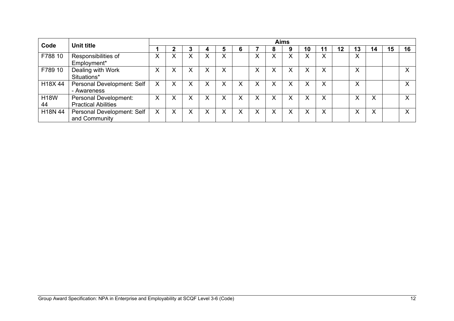|                   |                                                            |   |        |                   |   |                   |        |              | <b>Aims</b>  |    |    |    |                   |    |    |              |
|-------------------|------------------------------------------------------------|---|--------|-------------------|---|-------------------|--------|--------------|--------------|----|----|----|-------------------|----|----|--------------|
| Code              | Unit title                                                 |   | n      |                   | 4 | 6                 |        | 8            | 9            | 10 | 11 | 12 | 13                | 14 | 15 | 16           |
| F788 10           | Responsibilities of<br>Employment*                         | ∧ |        | ∧                 | ∧ |                   | ∧      |              | v<br>∧       |    | X  |    | $\checkmark$<br>⌒ |    |    |              |
| F789 10           | Dealing with Work<br>Situations*                           | ∧ |        | Χ                 | Х |                   | ∧      |              | Χ            |    | X  |    | ∧                 |    |    |              |
| H18X 44           | Personal Development: Self<br>- Awareness                  | X | v<br>∧ | $\checkmark$<br>⋏ | X | $\checkmark$<br>∧ | ∧      | $\checkmark$ | $\checkmark$ |    | ⋏  |    | $\lambda$         |    |    | $\mathbf{v}$ |
| <b>H18W</b><br>44 | <b>Personal Development:</b><br><b>Practical Abilities</b> | X | v      | X                 | X | $\checkmark$<br>v | v<br>⋏ | v            | X            |    | X  |    |                   | X  |    | $\mathbf{v}$ |
| H18N 44           | Personal Development: Self<br>and Community                | X | v      | v<br>∧            | Х | v<br>∧            | ∧      | v            | $\checkmark$ |    | ᄉ  |    |                   | X  |    | $\mathbf{v}$ |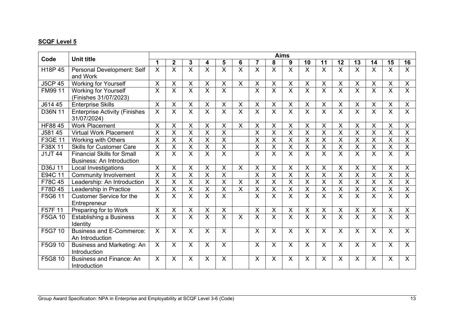|                |                                                                       |                           |                         |                         |                         |                           |                         |                         |                           | <b>Aims</b>               |                         |                           |                           |                           |                           |                           |                         |
|----------------|-----------------------------------------------------------------------|---------------------------|-------------------------|-------------------------|-------------------------|---------------------------|-------------------------|-------------------------|---------------------------|---------------------------|-------------------------|---------------------------|---------------------------|---------------------------|---------------------------|---------------------------|-------------------------|
| Code           | <b>Unit title</b>                                                     | 1                         | $\mathbf 2$             | 3                       | 4                       | 5                         | 6                       | 7                       | 8                         | 9                         | 10                      | 11                        | 12                        | 13                        | 14                        | 15                        | 16                      |
| H18P 45        | Personal Development: Self<br>and Work                                | X                         | $\mathsf{X}$            | X                       | X                       | $\sf X$                   | X                       | X                       | X                         | $\sf X$                   | X                       | $\times$                  | X                         | $\sf X$                   | X                         | X                         | X                       |
| <b>J5CP 45</b> | <b>Working for Yourself</b>                                           | X                         | X                       | $\pmb{\times}$          | X                       | X                         | $\pmb{\times}$          | X                       | $\pmb{\times}$            | $\mathsf{X}$              | X                       | X                         | $\mathsf{X}$              | $\boldsymbol{\mathsf{X}}$ | X                         | X                         | $\times$                |
| FM99 11        | <b>Working for Yourself</b><br>(Finishes 31/07/2023)                  | $\overline{\mathsf{X}}$   | $\overline{\mathsf{x}}$ | X                       | X                       | X                         |                         | X                       | $\sf X$                   | $\overline{\mathsf{x}}$   | X                       | X                         | $\overline{\mathsf{x}}$   | X                         | X                         | X                         | X                       |
| J614 45        | <b>Enterprise Skills</b>                                              | $\sf X$                   | $\mathsf{X}$            | $\pmb{\times}$          | X                       | $\pmb{\times}$            | $\pmb{\times}$          | $\pmb{\times}$          | $\pmb{\times}$            | $\mathsf{X}$              | $\pmb{\times}$          | $\sf X$                   | $\boldsymbol{\mathsf{X}}$ | $\pmb{\times}$            | X                         | X                         | $\sf X$                 |
| D36N 11        | <b>Enterprise Activity (Finishes</b><br>31/07/2024)                   | $\overline{\mathsf{x}}$   | $\overline{\mathsf{x}}$ | $\overline{\mathsf{x}}$ | $\overline{\mathsf{x}}$ | $\overline{\mathsf{x}}$   | $\overline{\mathsf{x}}$ | $\overline{\mathsf{x}}$ | $\overline{\mathsf{x}}$   | $\overline{\mathsf{x}}$   | $\overline{\mathsf{X}}$ | $\overline{\mathsf{x}}$   | $\overline{\mathsf{x}}$   | $\overline{\mathsf{x}}$   | $\overline{\mathsf{x}}$   | $\overline{\mathsf{x}}$   | $\times$                |
| <b>HF88 45</b> | <b>Work Placement</b>                                                 | $\times$                  | X                       | X                       | X                       | X                         | X                       | X                       | X                         | X                         | X                       | $\boldsymbol{\mathsf{X}}$ | X                         | X                         | X                         | $\boldsymbol{\mathsf{X}}$ | X                       |
| J581 45        | <b>Virtual Work Placement</b>                                         | $\sf X$                   | $\overline{\mathsf{x}}$ | X                       | X                       | $\overline{\mathsf{x}}$   |                         | X                       | $\overline{\mathsf{x}}$   | X                         | X                       | $\overline{X}$            | $\overline{X}$            | X                         | X                         | X                         | $\times$                |
| <b>F3GE 11</b> | <b>Working with Others</b>                                            | $\sf X$                   | X                       | X                       | X                       | X                         |                         | X                       | $\sf X$                   | X                         | X                       | X                         | X                         | $\sf X$                   | X                         | X                         | $\overline{X}$          |
| F38X 11        | <b>Skills for Customer Care</b>                                       | $\overline{\mathsf{x}}$   | X                       | $\overline{X}$          | X                       | $\overline{X}$            |                         | X                       | $\overline{X}$            | $\overline{X}$            | $\overline{\mathsf{x}}$ | $\sf X$                   | X                         | $\overline{X}$            | $\sf X$                   | X                         | $\sf X$                 |
| <b>J1JT 44</b> | <b>Financial Skills for Small</b><br><b>Business: An Introduction</b> | $\overline{\mathsf{x}}$   | $\overline{X}$          | X                       | $\overline{\mathsf{x}}$ | $\overline{X}$            |                         | X                       | $\overline{X}$            | $\overline{\mathsf{x}}$   | X                       | $\overline{\mathsf{x}}$   | $\overline{X}$            | $\overline{\mathsf{X}}$   | $\overline{\mathsf{x}}$   | X                         | $\overline{X}$          |
| D36J 11        | Local Investigations                                                  | $\overline{\mathsf{x}}$   | $\mathsf{X}$            | X                       | $\overline{X}$          | $\pmb{\times}$            | X                       | $\mathsf{X}$            | $\overline{\mathsf{x}}$   | $\overline{\mathsf{x}}$   | $\pmb{\times}$          | $\pmb{\times}$            | $\mathsf{X}$              | X                         | X                         | $\boldsymbol{\mathsf{X}}$ | $\pmb{\times}$          |
| E94C 11        | <b>Community Involvement</b>                                          | X                         | X                       | X                       | X                       | X                         |                         | X                       | $\pmb{\times}$            | $\pmb{\mathsf{X}}$        | X                       | X                         | X                         | X                         | $\pmb{\mathsf{X}}$        | X                         | $\overline{X}$          |
| F78C 45        | Leadership: An Introduction                                           | $\overline{\mathsf{x}}$   | $\overline{\mathsf{x}}$ | $\overline{\mathsf{x}}$ | $\overline{\mathsf{x}}$ | $\overline{\mathsf{X}}$   | $\overline{\mathsf{x}}$ | $\overline{\mathsf{x}}$ | $\overline{X}$            | $\overline{\mathsf{x}}$   | $\overline{X}$          | $\overline{\mathsf{x}}$   | $\overline{X}$            | $\overline{\mathsf{x}}$   | $\overline{\mathsf{x}}$   | $\overline{\mathsf{X}}$   | $\overline{\mathsf{x}}$ |
| F78D 45        | Leadership in Practice                                                | $\boldsymbol{\mathsf{X}}$ | X                       | X                       | X                       | $\boldsymbol{\mathsf{X}}$ | X                       | X                       | X                         | $\sf X$                   | X                       | X                         | X                         | X                         | X                         | X                         | $\sf X$                 |
| F5G6 11        | <b>Customer Service for the</b><br>Entrepreneur                       | $\overline{\mathsf{X}}$   | X                       | X                       | X                       | X                         |                         | X                       | X                         | X                         | $\overline{\mathsf{X}}$ | X                         | $\mathsf{X}$              | X                         | X                         | X                         | X                       |
| F57F 11        | Preparing for to Work                                                 | X                         | X                       | X                       | $\mathsf X$             | X                         |                         | $\pmb{\times}$          | $\boldsymbol{\mathsf{X}}$ | $\pmb{\times}$            | $\times$                | $\boldsymbol{\mathsf{X}}$ | X                         | X                         | $\boldsymbol{\mathsf{X}}$ | X                         | X                       |
| <b>F5GA 10</b> | <b>Establishing a Business</b><br>Identity                            | $\overline{X}$            | $\overline{\mathsf{x}}$ | $\overline{\mathsf{X}}$ | $\overline{\mathsf{x}}$ | $\overline{\mathsf{X}}$   | $\overline{\mathsf{X}}$ | $\overline{\mathsf{x}}$ | $\overline{\mathsf{x}}$   | $\overline{\mathsf{X}}$   | $\overline{\mathsf{x}}$ | $\overline{\mathsf{x}}$   | $\overline{X}$            | $\overline{\mathsf{x}}$   | $\overline{\mathsf{X}}$   | $\overline{\mathsf{X}}$   | $\overline{\mathsf{x}}$ |
| F5G7 10        | <b>Business and E-Commerce:</b><br>An Introduction                    | $\times$                  | $\mathsf{X}$            | X                       | X                       | X                         |                         | X                       | X                         | $\boldsymbol{\mathsf{X}}$ | X                       | X                         | X                         | X                         | X                         | X                         | $\mathsf{X}$            |
| F5G9 10        | Business and Marketing: An<br>Introduction                            | X                         | $\mathsf{X}$            | $\mathsf{X}$            | X                       | $\sf X$                   |                         | $\mathsf{X}$            | $\mathsf{X}$              | X                         | X                       | $\times$                  | $\mathsf{X}$              | X                         | X                         | $\sf X$                   | X                       |
| F5G8 10        | <b>Business and Finance: An</b><br>Introduction                       | X                         | $\mathsf{X}$            | X                       | X                       | X                         |                         | X                       | $\sf X$                   | X                         | X                       | X                         | X                         | X                         | X                         | X                         | $\sf X$                 |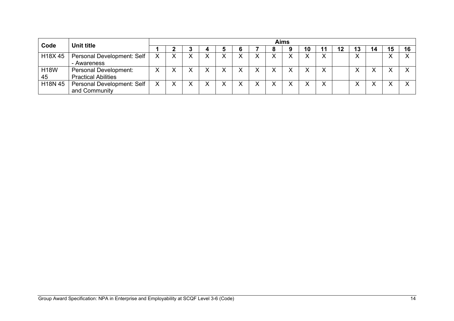| Code              | Unit title                                          | <b>Aims</b> |  |  |   |  |   |  |  |              |  |  |    |    |    |    |     |
|-------------------|-----------------------------------------------------|-------------|--|--|---|--|---|--|--|--------------|--|--|----|----|----|----|-----|
|                   |                                                     |             |  |  | 4 |  |   |  |  |              |  |  | 12 | 13 | 14 | 15 | 1 G |
| H18X 45           | Personal Development: Self<br>- Awareness           |             |  |  |   |  | v |  |  | v            |  |  |    |    |    |    |     |
| <b>H18W</b><br>45 | Personal Development:<br><b>Practical Abilities</b> |             |  |  |   |  | v |  |  | $\checkmark$ |  |  |    |    |    |    |     |
| H18N 45           | Personal Development: Self<br>and Community         | v           |  |  |   |  | v |  |  | $\checkmark$ |  |  |    |    |    |    |     |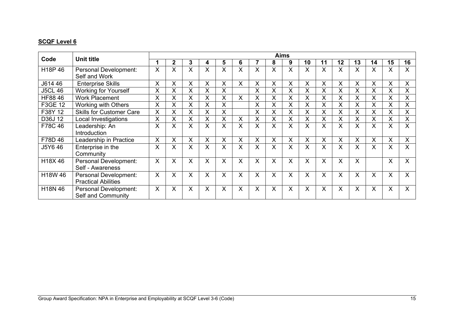| Code                 | <b>Unit title</b>                                   |         |             |   |   |   |         |   |   | <b>Aims</b>  |    |         |              |    |    |    |              |
|----------------------|-----------------------------------------------------|---------|-------------|---|---|---|---------|---|---|--------------|----|---------|--------------|----|----|----|--------------|
|                      |                                                     |         | $\mathbf 2$ | 3 | 4 | 5 | 6       |   | 8 | 9            | 10 | 11      | 12           | 13 | 14 | 15 | 16           |
| H <sub>18</sub> P 46 | Personal Development:<br>Self and Work              | X       | X           | X | X | X | X       | X | X | X            | X  | X       | X            | X  | X  | X  | X            |
| J614 46              | <b>Enterprise Skills</b>                            | X       | X           | X | X | X | X       | X | X | X            | X  | X       | X            | X  | X  | X  | X            |
| <b>J5CL 46</b>       | <b>Working for Yourself</b>                         | X       | X           | X | X | X |         | X | X | X            | X  | X       | X            | X  | X  | X  | X            |
| HF88 46              | <b>Work Placement</b>                               | X       |             | X | X | X | Χ       | Χ | X | X            | X  | X       | Χ            | Χ  | X  | Χ  | X            |
| F3GE 12              | <b>Working with Others</b>                          | X       | X           | X | X | X |         | X | X | X            | X  | X       | X            | X  | X  | X  | X            |
| F38Y 12              | <b>Skills for Customer Care</b>                     | X       | X           | X | X | X |         | X | X | X            | X  | X       | X.           | X  | X  | X  | X            |
| D36J 12              | Local Investigations                                | X       | Χ           | X | X | X | X       | Χ | X | X            | X  | X       | Χ            | X  | X  | X  | X            |
| F78C 46              | Leadership: An<br>Introduction                      | X       | X.          | X | X | X | X       | X | X | $\mathsf{X}$ | X  | $\sf X$ | $\mathsf{X}$ | X  | X  | X  | X            |
| F78D 46              | Leadership in Practice                              | X       | ^           | X | X | X | X       | Χ | X | X            | X  | X       | X.           | X  | X  | X  | X            |
| J5Y646               | Enterprise in the<br>Community                      | X       | X           | X | X | X | X       | X | X | X            | X  | X       | X            | X  | X  | X  | X.           |
| H18X46               | Personal Development:<br>Self - Awareness           | $\sf X$ | X           | X | X | X | $\sf X$ | X | X | $\sf X$      | X  | X       | $\mathsf{X}$ | X  |    | X  | $\mathsf{X}$ |
| H18W 46              | Personal Development:<br><b>Practical Abilities</b> | $\sf X$ | X           | X | X | X | X       | X | X | X            | X  | X       | X            | X  | X  | X  | X            |
| H18N 46              | Personal Development:<br>Self and Community         | $\sf X$ | X           | X | X | X | X       | Χ | X | X            | X  | X       | X            | X  | X  | X  | X            |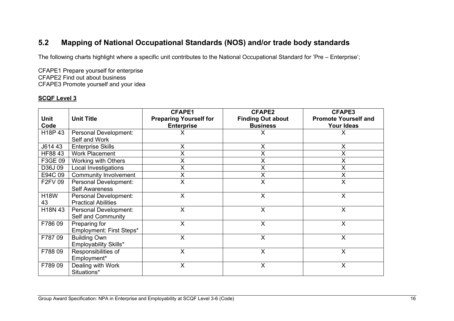## **5.2 Mapping of National Occupational Standards (NOS) and/or trade body standards**

The following charts highlight where a specific unit contributes to the National Occupational Standard for 'Pre – Enterprise';

CFAPE1 Prepare yourself for enterprise CFAPE2 Find out about business CFAPE3 Promote yourself and your idea

| <b>Unit</b><br>Code             | <b>Unit Title</b>                                   | <b>CFAPE1</b><br><b>Preparing Yourself for</b><br><b>Enterprise</b> | <b>CFAPE2</b><br><b>Finding Out about</b><br><b>Business</b> | <b>CFAPE3</b><br><b>Promote Yourself and</b><br><b>Your Ideas</b> |
|---------------------------------|-----------------------------------------------------|---------------------------------------------------------------------|--------------------------------------------------------------|-------------------------------------------------------------------|
| H <sub>18</sub> P <sub>43</sub> | Personal Development:<br>Self and Work              |                                                                     | X                                                            | Χ                                                                 |
| J614 43                         | <b>Enterprise Skills</b>                            | X                                                                   | $\pmb{\mathsf{X}}$                                           | X                                                                 |
| HF88 43                         | <b>Work Placement</b>                               | X                                                                   | X                                                            | Χ                                                                 |
| F3GE 09                         | Working with Others                                 | Χ                                                                   | X                                                            | X                                                                 |
| D36J09                          | Local Investigations                                | Χ                                                                   | $\pmb{\mathsf{X}}$                                           | X                                                                 |
| E94C 09                         | <b>Community Involvement</b>                        | Χ                                                                   | X                                                            | X                                                                 |
| <b>F2FV 09</b>                  | Personal Development:<br><b>Self Awareness</b>      | X                                                                   | X                                                            | X                                                                 |
| <b>H18W</b><br>43               | Personal Development:<br><b>Practical Abilities</b> | $\mathsf{X}$                                                        | X                                                            | X                                                                 |
| H18N 43                         | Personal Development:<br>Self and Community         | X                                                                   | X                                                            | X                                                                 |
| F78609                          | Preparing for<br>Employment: First Steps*           | X                                                                   | $\sf X$                                                      | X                                                                 |
| F78709                          | <b>Building Own</b><br>Employability Skills*        | X                                                                   | $\times$                                                     | X                                                                 |
| F78809                          | Responsibilities of<br>Employment*                  | X                                                                   | X                                                            | X                                                                 |
| F78909                          | Dealing with Work<br>Situations*                    | X                                                                   | X                                                            | X                                                                 |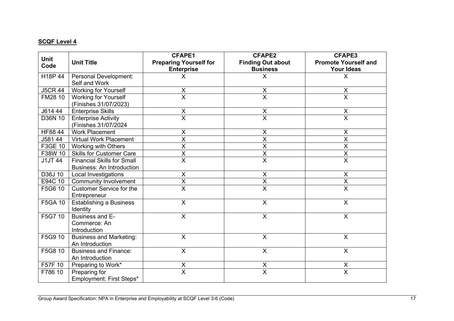| <b>Unit</b>    |                                   | <b>CFAPE1</b>                 | <b>CFAPE2</b>            | <b>CFAPE3</b>               |
|----------------|-----------------------------------|-------------------------------|--------------------------|-----------------------------|
| Code           | <b>Unit Title</b>                 | <b>Preparing Yourself for</b> | <b>Finding Out about</b> | <b>Promote Yourself and</b> |
|                |                                   | <b>Enterprise</b>             | <b>Business</b>          | <b>Your Ideas</b>           |
| H18P 44        | Personal Development:             | Χ                             | X                        | X                           |
|                | Self and Work                     |                               |                          |                             |
| <b>J5CR 44</b> | <b>Working for Yourself</b>       | X                             | X                        | X                           |
| FM28 10        | <b>Working for Yourself</b>       | $\overline{\mathsf{x}}$       | $\overline{\mathsf{x}}$  | $\overline{\mathsf{x}}$     |
|                | (Finishes 31/07/2023)             |                               |                          |                             |
| J614 44        | <b>Enterprise Skills</b>          | X                             | $\mathsf X$              | $\pmb{\mathsf{X}}$          |
| D36N 10        | <b>Enterprise Activity</b>        | $\overline{\mathsf{x}}$       | $\overline{\mathsf{x}}$  | $\overline{\mathsf{x}}$     |
|                | (Finishes 31/07/2024              |                               |                          |                             |
| HF88 44        | <b>Work Placement</b>             | $\pmb{\times}$                | $\mathsf X$              | $\boldsymbol{\mathsf{X}}$   |
| J581 44        | <b>Virtual Work Placement</b>     | $\overline{\mathsf{X}}$       | $\overline{\mathsf{X}}$  | $\overline{\mathsf{x}}$     |
| F3GE 10        | Working with Others               | $\pmb{\mathsf{X}}$            | $\sf X$                  | X                           |
| F38W 10        | <b>Skills for Customer Care</b>   | $\overline{\mathsf{x}}$       | $\overline{\mathsf{x}}$  | $\overline{\mathsf{X}}$     |
| <b>J1JT 44</b> | <b>Financial Skills for Small</b> | $\overline{\mathsf{x}}$       | $\overline{\mathsf{x}}$  | $\overline{\mathsf{x}}$     |
|                | <b>Business: An Introduction</b>  |                               |                          |                             |
| D36J 10        | Local Investigations              | X                             | X                        | $\boldsymbol{\mathsf{X}}$   |
| E94C 10        | <b>Community Involvement</b>      | $\overline{\mathsf{X}}$       | $\overline{\mathsf{X}}$  | $\overline{X}$              |
| F5G6 10        | <b>Customer Service for the</b>   | $\overline{\mathsf{x}}$       | $\overline{\mathsf{x}}$  | $\overline{\mathsf{x}}$     |
|                | Entrepreneur                      |                               |                          |                             |
| F5GA 10        | <b>Establishing a Business</b>    | X                             | $\sf X$                  | $\boldsymbol{\mathsf{X}}$   |
|                | Identity                          |                               |                          |                             |
| F5G7 10        | Business and E-                   | X                             | X                        | X                           |
|                | Commerce: An                      |                               |                          |                             |
|                | Introduction                      |                               |                          |                             |
| F5G9 10        | <b>Business and Marketing:</b>    | $\overline{\mathsf{x}}$       | $\overline{X}$           | $\overline{\mathsf{x}}$     |
|                | An Introduction                   |                               |                          |                             |
| F5G8 10        | <b>Business and Finance:</b>      | $\overline{X}$                | $\overline{\mathsf{x}}$  | $\overline{\mathsf{x}}$     |
|                | An Introduction                   |                               |                          |                             |
| F57F 10        | Preparing to Work*                | $\pmb{\mathsf{X}}$            | $\pmb{\mathsf{X}}$       | $\pmb{\mathsf{X}}$          |
| F786 10        | Preparing for                     | $\overline{\mathsf{x}}$       | $\overline{\mathsf{x}}$  | $\overline{\mathsf{x}}$     |
|                | Employment: First Steps*          |                               |                          |                             |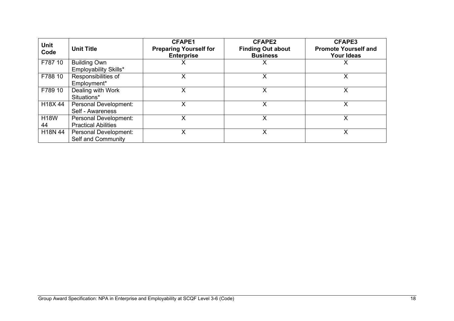| <b>Unit</b><br>Code | <b>Unit Title</b>                                   | <b>CFAPE1</b><br><b>Preparing Yourself for</b><br><b>Enterprise</b> | <b>CFAPE2</b><br><b>Finding Out about</b><br><b>Business</b> | <b>CFAPE3</b><br><b>Promote Yourself and</b><br><b>Your Ideas</b> |
|---------------------|-----------------------------------------------------|---------------------------------------------------------------------|--------------------------------------------------------------|-------------------------------------------------------------------|
| F787 10             | <b>Building Own</b><br>Employability Skills*        |                                                                     | х                                                            | х                                                                 |
| F788 10             | Responsibilities of<br>Employment*                  | x                                                                   | x                                                            | X                                                                 |
| F789 10             | Dealing with Work<br>Situations*                    | X                                                                   | X                                                            | X                                                                 |
| H18X44              | Personal Development:<br>Self - Awareness           | х                                                                   | x                                                            | Х                                                                 |
| <b>H18W</b><br>44   | Personal Development:<br><b>Practical Abilities</b> |                                                                     | x                                                            | х                                                                 |
| H18N 44             | Personal Development:<br>Self and Community         | x                                                                   | Χ                                                            | х                                                                 |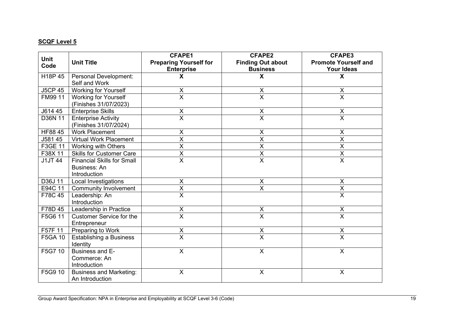| <b>Unit</b>    |                                   | <b>CFAPE1</b>                 | <b>CFAPE2</b>             | <b>CFAPE3</b>                       |
|----------------|-----------------------------------|-------------------------------|---------------------------|-------------------------------------|
| Code           | <b>Unit Title</b>                 | <b>Preparing Yourself for</b> | <b>Finding Out about</b>  | <b>Promote Yourself and</b>         |
|                |                                   | <b>Enterprise</b>             | <b>Business</b>           | Your Ideas                          |
| H18P 45        | Personal Development:             | X                             | X                         | X                                   |
|                | Self and Work                     |                               |                           |                                     |
| <b>J5CP 45</b> | <b>Working for Yourself</b>       | X                             | X                         | X                                   |
| FM99 11        | <b>Working for Yourself</b>       | $\overline{\mathsf{x}}$       | $\overline{\mathsf{x}}$   | $\overline{\mathsf{X}}$             |
|                | (Finishes 31/07/2023)             |                               |                           |                                     |
| J614 45        | <b>Enterprise Skills</b>          | X                             | $\pmb{\mathsf{X}}$        | $\frac{\mathsf{X}}{\mathsf{X}}$     |
| D36N 11        | <b>Enterprise Activity</b>        | $\overline{\mathsf{x}}$       | $\overline{\mathsf{x}}$   |                                     |
|                | (Finishes 31/07/2024)             |                               |                           |                                     |
| HF88 45        | <b>Work Placement</b>             | X                             | X                         | X                                   |
| J581 45        | <b>Virtual Work Placement</b>     | $\overline{\mathsf{x}}$       | $\overline{\mathsf{x}}$   | $\overline{\mathsf{X}}$             |
| F3GE 11        | Working with Others               | X                             | $\mathsf X$               | $\boldsymbol{\mathsf{X}}$           |
| F38X 11        | <b>Skills for Customer Care</b>   | $\overline{\mathsf{x}}$       | $\overline{X}$            | $\overline{X}$                      |
| <b>J1JT 44</b> | <b>Financial Skills for Small</b> | $\overline{\mathsf{x}}$       | $\overline{\mathsf{X}}$   | $\overline{X}$                      |
|                | Business: An                      |                               |                           |                                     |
|                | Introduction                      |                               |                           |                                     |
| D36J 11        | Local Investigations              | $\overline{\mathsf{X}}$       | $\boldsymbol{\mathsf{X}}$ | $\overline{\mathsf{x}}$             |
| E94C 11        | <b>Community Involvement</b>      | $\overline{\mathsf{x}}$       | $\overline{\mathsf{x}}$   | $\frac{\overline{X}}{\overline{X}}$ |
| F78C 45        | Leadership: An                    | $\overline{\mathsf{x}}$       |                           |                                     |
|                | Introduction                      |                               |                           |                                     |
| F78D 45        | Leadership in Practice            | $\pmb{\mathsf{X}}$            | $\mathsf X$               | $\mathsf X$                         |
| F5G6 11        | <b>Customer Service for the</b>   | $\overline{\mathsf{x}}$       | $\overline{\mathsf{x}}$   | $\overline{\mathsf{x}}$             |
|                | Entrepreneur                      |                               |                           |                                     |
| F57F 11        | Preparing to Work                 | $\pmb{\times}$                | X                         | $\sf X$                             |
| F5GA 10        | Establishing a Business           | $\overline{\mathsf{x}}$       | $\overline{\mathsf{x}}$   | $\overline{\mathsf{x}}$             |
|                | Identity                          |                               |                           |                                     |
| F5G7 10        | Business and E-                   | X                             | $\boldsymbol{\mathsf{X}}$ | $\overline{\mathsf{x}}$             |
|                | Commerce: An                      |                               |                           |                                     |
|                | Introduction                      |                               |                           |                                     |
| F5G9 10        | <b>Business and Marketing:</b>    | X                             | $\boldsymbol{\mathsf{X}}$ | $\pmb{\times}$                      |
|                | An Introduction                   |                               |                           |                                     |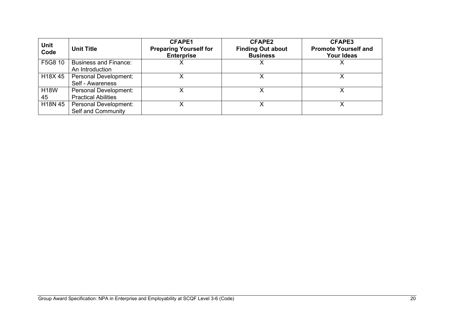| <b>Unit</b><br>Code | <b>Unit Title</b>                                   | <b>CFAPE1</b><br><b>Preparing Yourself for</b><br><b>Enterprise</b> | <b>CFAPE2</b><br><b>Finding Out about</b><br><b>Business</b> | <b>CFAPE3</b><br><b>Promote Yourself and</b><br><b>Your Ideas</b> |
|---------------------|-----------------------------------------------------|---------------------------------------------------------------------|--------------------------------------------------------------|-------------------------------------------------------------------|
| F5G8 10             | <b>Business and Finance:</b><br>An Introduction     |                                                                     |                                                              |                                                                   |
| H18X45              | <b>Personal Development:</b><br>Self - Awareness    |                                                                     |                                                              |                                                                   |
| <b>H18W</b><br>45   | Personal Development:<br><b>Practical Abilities</b> |                                                                     |                                                              |                                                                   |
| H18N 45             | Personal Development:<br>Self and Community         |                                                                     |                                                              |                                                                   |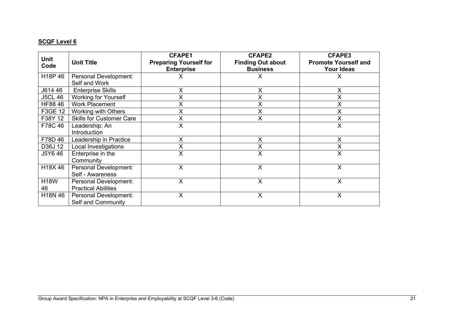| Unit<br>Code      | <b>Unit Title</b>                                   | <b>CFAPE1</b><br><b>Preparing Yourself for</b><br><b>Enterprise</b> | <b>CFAPE2</b><br><b>Finding Out about</b><br><b>Business</b> | <b>CFAPE3</b><br><b>Promote Yourself and</b><br><b>Your Ideas</b> |
|-------------------|-----------------------------------------------------|---------------------------------------------------------------------|--------------------------------------------------------------|-------------------------------------------------------------------|
| H18P 46           | Personal Development:<br>Self and Work              | х                                                                   | X                                                            | $\pmb{\times}$                                                    |
| J614 46           | <b>Enterprise Skills</b>                            | x                                                                   | X                                                            | X                                                                 |
| <b>J5CL 46</b>    | Working for Yourself                                | X                                                                   | X                                                            | X                                                                 |
| HF88 46           | <b>Work Placement</b>                               | X                                                                   | $\times$                                                     | $\pmb{\mathsf{X}}$                                                |
| F3GE 12           | Working with Others                                 | Χ                                                                   | X                                                            | X                                                                 |
| F38Y 12           | <b>Skills for Customer Care</b>                     | Χ                                                                   | $\sf X$                                                      | X                                                                 |
| F78C 46           | Leadership: An<br>Introduction                      | Χ                                                                   |                                                              | X                                                                 |
| F78D 46           | Leadership in Practice                              | X                                                                   | X                                                            | X                                                                 |
| D36J 12           | Local Investigations                                | Χ                                                                   | $\times$                                                     | X                                                                 |
| J5Y6 46           | Enterprise in the<br>Community                      | X                                                                   | $\overline{X}$                                               | X                                                                 |
| H18X46            | Personal Development:<br>Self - Awareness           | Χ                                                                   | X                                                            | X                                                                 |
| <b>H18W</b><br>46 | Personal Development:<br><b>Practical Abilities</b> | X                                                                   | X                                                            | X                                                                 |
| H18N 46           | Personal Development:<br>Self and Community         | $\times$                                                            | X                                                            | $\times$                                                          |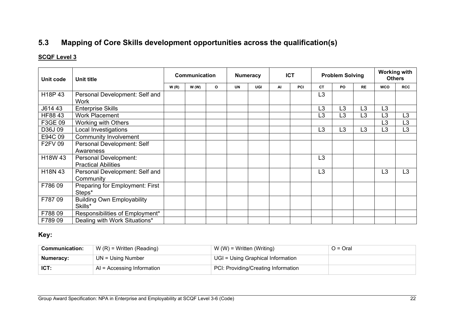# **5.3 Mapping of Core Skills development opportunities across the qualification(s)**

### **SCQF Level 3**

| Unit code      | <b>Unit title</b>                                   | Communication |      |         |           | <b>Numeracy</b> |    | <b>ICT</b> |                | <b>Problem Solving</b> |                | <b>Working with</b><br><b>Others</b> |                |
|----------------|-----------------------------------------------------|---------------|------|---------|-----------|-----------------|----|------------|----------------|------------------------|----------------|--------------------------------------|----------------|
|                |                                                     | W(R)          | W(W) | $\circ$ | <b>UN</b> | UGI             | AI | PCI        | <b>CT</b>      | PO                     | <b>RE</b>      | <b>WCO</b>                           | <b>RCC</b>     |
| H18P 43        | Personal Development: Self and<br><b>Work</b>       |               |      |         |           |                 |    |            | L <sub>3</sub> |                        |                |                                      |                |
| J614 43        | <b>Enterprise Skills</b>                            |               |      |         |           |                 |    |            | L <sub>3</sub> | L3                     | L3             | L <sub>3</sub>                       |                |
| HF88 43        | <b>Work Placement</b>                               |               |      |         |           |                 |    |            | L <sub>3</sub> | L3                     | L3             | L <sub>3</sub>                       | L <sub>3</sub> |
| F3GE 09        | Working with Others                                 |               |      |         |           |                 |    |            |                |                        |                | L3                                   | L <sub>3</sub> |
| D36J09         | Local Investigations                                |               |      |         |           |                 |    |            | L <sub>3</sub> | L3                     | L <sub>3</sub> | L <sub>3</sub>                       | L <sub>3</sub> |
| E94C 09        | <b>Community Involvement</b>                        |               |      |         |           |                 |    |            |                |                        |                |                                      |                |
| <b>F2FV 09</b> | Personal Development: Self<br>Awareness             |               |      |         |           |                 |    |            |                |                        |                |                                      |                |
| H18W 43        | Personal Development:<br><b>Practical Abilities</b> |               |      |         |           |                 |    |            | L <sub>3</sub> |                        |                |                                      |                |
| H18N 43        | Personal Development: Self and<br>Community         |               |      |         |           |                 |    |            | L <sub>3</sub> |                        |                | L <sub>3</sub>                       | L <sub>3</sub> |
| F78609         | Preparing for Employment: First<br>Steps*           |               |      |         |           |                 |    |            |                |                        |                |                                      |                |
| F78709         | <b>Building Own Employability</b><br>Skills*        |               |      |         |           |                 |    |            |                |                        |                |                                      |                |
| F78809         | Responsibilities of Employment*                     |               |      |         |           |                 |    |            |                |                        |                |                                      |                |
| F78909         | Dealing with Work Situations*                       |               |      |         |           |                 |    |            |                |                        |                |                                      |                |

### <span id="page-23-0"></span>**Key:**

| <b>Communication:</b> | $W(R)$ = Written (Reading)            | $W(W)$ = Written (Writing)                     | $O = O$ ral |
|-----------------------|---------------------------------------|------------------------------------------------|-------------|
| Numeracy:             | $UN = Using Number$                   | $\mathsf{U}$ UGI = Using Graphical Information |             |
| ICT:                  | $^{\circ}$ AI = Accessing Information | PCI: Providing/Creating Information            |             |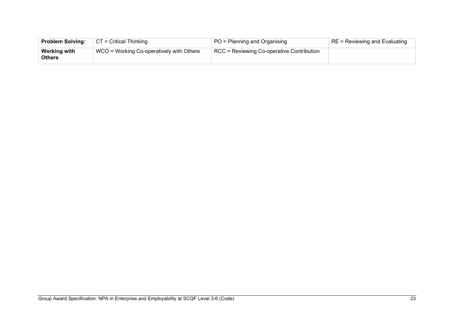| <b>Problem Solving:</b>              | $\vert$ CT = Critical Thinking           | PO = Planning and Organising                             | RE = Reviewing and Evaluating |
|--------------------------------------|------------------------------------------|----------------------------------------------------------|-------------------------------|
| <b>Working with</b><br><b>Others</b> | WCO = Working Co-operatively with Others | $\overline{P}$ RCC = Reviewing Co-operative Contribution |                               |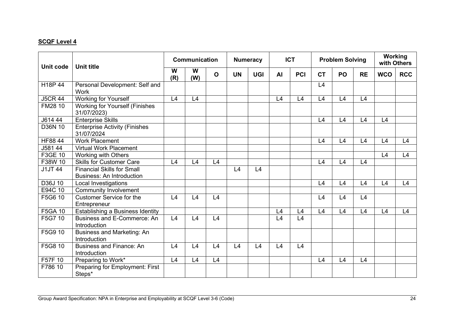| Unit code      | <b>Unit title</b>                                                     |          | Communication |              |           | <b>Numeracy</b> |           | <b>ICT</b> |           | <b>Problem Solving</b> |           | <b>Working</b><br>with Others |            |
|----------------|-----------------------------------------------------------------------|----------|---------------|--------------|-----------|-----------------|-----------|------------|-----------|------------------------|-----------|-------------------------------|------------|
|                |                                                                       | W<br>(R) | W<br>(W)      | $\mathbf{o}$ | <b>UN</b> | <b>UGI</b>      | <b>AI</b> | PCI        | <b>CT</b> | PO                     | <b>RE</b> | <b>WCO</b>                    | <b>RCC</b> |
| H18P 44        | Personal Development: Self and<br><b>Work</b>                         |          |               |              |           |                 |           |            | L4        |                        |           |                               |            |
| <b>J5CR 44</b> | <b>Working for Yourself</b>                                           | L4       | L4            |              |           |                 | L4        | L4         | L4        | L4                     | L4        |                               |            |
| FM28 10        | <b>Working for Yourself (Finishes</b><br>31/07/2023)                  |          |               |              |           |                 |           |            |           |                        |           |                               |            |
| J614 44        | <b>Enterprise Skills</b>                                              |          |               |              |           |                 |           |            | L4        | L4                     | L4        | L4                            |            |
| D36N 10        | <b>Enterprise Activity (Finishes</b><br>31/07/2024                    |          |               |              |           |                 |           |            |           |                        |           |                               |            |
| HF88 44        | <b>Work Placement</b>                                                 |          |               |              |           |                 |           |            | L4        | L4                     | L4        | L4                            | L4         |
| J581 44        | <b>Virtual Work Placement</b>                                         |          |               |              |           |                 |           |            |           |                        |           |                               |            |
| F3GE 10        | Working with Others                                                   |          |               |              |           |                 |           |            |           |                        |           | L4                            | L4         |
| F38W 10        | <b>Skills for Customer Care</b>                                       | L4       | L4            | L4           |           |                 |           |            | L4        | L4                     | L4        |                               |            |
| <b>J1JT 44</b> | <b>Financial Skills for Small</b><br><b>Business: An Introduction</b> |          |               |              | L4        | L4              |           |            |           |                        |           |                               |            |
| D36J 10        | Local Investigations                                                  |          |               |              |           |                 |           |            | L4        | L4                     | L4        | L4                            | L4         |
| E94C 10        | <b>Community Involvement</b>                                          |          |               |              |           |                 |           |            |           |                        |           |                               |            |
| F5G6 10        | <b>Customer Service for the</b><br>Entrepreneur                       | L4       | L4            | L4           |           |                 |           |            | L4        | L4                     | L4        |                               |            |
| <b>F5GA 10</b> | Establishing a Business Identity                                      |          |               |              |           |                 | L4        | L4         | L4        | L4                     | L4        | L4                            | L4         |
| F5G7 10        | Business and E-Commerce: An<br>Introduction                           | L4       | L4            | L4           |           |                 | L4        | L4         |           |                        |           |                               |            |
| F5G9 10        | Business and Marketing: An<br>Introduction                            |          |               |              |           |                 |           |            |           |                        |           |                               |            |
| F5G8 10        | <b>Business and Finance: An</b><br>Introduction                       | L4       | L4            | L4           | L4        | L4              | L4        | L4         |           |                        |           |                               |            |
| F57F 10        | Preparing to Work*                                                    | L4       | L4            | L4           |           |                 |           |            | L4        | L4                     | L4        |                               |            |
| F786 10        | Preparing for Employment: First<br>Steps*                             |          |               |              |           |                 |           |            |           |                        |           |                               |            |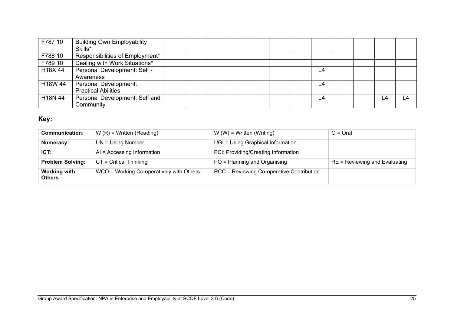| F787 10 | <b>Building Own Employability</b> |  |  |  |    |  |    |    |
|---------|-----------------------------------|--|--|--|----|--|----|----|
|         | Skills*                           |  |  |  |    |  |    |    |
| F788 10 | Responsibilities of Employment*   |  |  |  |    |  |    |    |
| F789 10 | Dealing with Work Situations*     |  |  |  |    |  |    |    |
| H18X 44 | Personal Development: Self -      |  |  |  | L4 |  |    |    |
|         | Awareness                         |  |  |  |    |  |    |    |
| H18W 44 | <b>Personal Development:</b>      |  |  |  | L4 |  |    |    |
|         | <b>Practical Abilities</b>        |  |  |  |    |  |    |    |
| H18N 44 | Personal Development: Self and    |  |  |  | L4 |  | L4 | L4 |
|         | Community                         |  |  |  |    |  |    |    |

# **Key:**

| <b>Communication:</b>                | $W(R)$ = Written (Reading)               | $W(W)$ = Written (Writing)                | $O = Q$ ral                   |
|--------------------------------------|------------------------------------------|-------------------------------------------|-------------------------------|
| Numeracy:                            | $UN = Using Number$                      | UGI = Using Graphical Information         |                               |
| ICT:                                 | $AI = Accessing Information$             | PCI: Providing/Creating Information       |                               |
| <b>Problem Solving:</b>              | $CT = Critical Thinking$                 | PO = Planning and Organising              | RE = Reviewing and Evaluating |
| <b>Working with</b><br><b>Others</b> | WCO = Working Co-operatively with Others | RCC = Reviewing Co-operative Contribution |                               |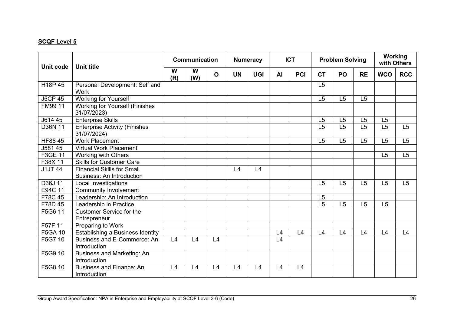| <b>Unit code</b> | <b>Unit title</b>                                                     |          | Communication |              |           | <b>Numeracy</b> |           | <b>ICT</b> | <b>Problem Solving</b> |    |                | Working<br>with Others |            |
|------------------|-----------------------------------------------------------------------|----------|---------------|--------------|-----------|-----------------|-----------|------------|------------------------|----|----------------|------------------------|------------|
|                  |                                                                       | W<br>(R) | W<br>(W)      | $\mathbf{o}$ | <b>UN</b> | <b>UGI</b>      | <b>AI</b> | PCI        | <b>CT</b>              | PO | <b>RE</b>      | <b>WCO</b>             | <b>RCC</b> |
| H18P 45          | Personal Development: Self and<br><b>Work</b>                         |          |               |              |           |                 |           |            | L5                     |    |                |                        |            |
| <b>J5CP 45</b>   | Working for Yourself                                                  |          |               |              |           |                 |           |            | L5                     | L5 | L5             |                        |            |
| FM99 11          | <b>Working for Yourself (Finishes</b><br>31/07/2023)                  |          |               |              |           |                 |           |            |                        |    |                |                        |            |
| J614 45          | <b>Enterprise Skills</b>                                              |          |               |              |           |                 |           |            | L5                     | L5 | L5             | L5                     |            |
| D36N 11          | <b>Enterprise Activity (Finishes</b><br>31/07/2024)                   |          |               |              |           |                 |           |            | L5                     | L5 | L5             | L5                     | L5         |
| HF88 45          | <b>Work Placement</b>                                                 |          |               |              |           |                 |           |            | L5                     | L5 | L5             | L5                     | L5         |
| J581 45          | <b>Virtual Work Placement</b>                                         |          |               |              |           |                 |           |            |                        |    |                |                        |            |
| F3GE 11          | Working with Others                                                   |          |               |              |           |                 |           |            |                        |    |                | L5                     | L5         |
| F38X 11          | <b>Skills for Customer Care</b>                                       |          |               |              |           |                 |           |            |                        |    |                |                        |            |
| J1JT 44          | <b>Financial Skills for Small</b><br><b>Business: An Introduction</b> |          |               |              | L4        | L4              |           |            |                        |    |                |                        |            |
| D36J 11          | Local Investigations                                                  |          |               |              |           |                 |           |            | L5                     | L5 | L <sub>5</sub> | L5                     | L5         |
| E94C 11          | <b>Community Involvement</b>                                          |          |               |              |           |                 |           |            |                        |    |                |                        |            |
| F78C 45          | Leadership: An Introduction                                           |          |               |              |           |                 |           |            | L <sub>5</sub>         |    |                |                        |            |
| F78D 45          | Leadership in Practice                                                |          |               |              |           |                 |           |            | L5                     | L5 | L <sub>5</sub> | L5                     |            |
| F5G6 11          | <b>Customer Service for the</b><br>Entrepreneur                       |          |               |              |           |                 |           |            |                        |    |                |                        |            |
| F57F 11          | Preparing to Work                                                     |          |               |              |           |                 |           |            |                        |    |                |                        |            |
| F5GA 10          | Establishing a Business Identity                                      |          |               |              |           |                 | L4        | L4         | L4                     | L4 | L4             | L4                     | L4         |
| F5G7 10          | Business and E-Commerce: An<br>Introduction                           | L4       | L4            | L4           |           |                 | L4        |            |                        |    |                |                        |            |
| F5G9 10          | <b>Business and Marketing: An</b><br>Introduction                     |          |               |              |           |                 |           |            |                        |    |                |                        |            |
| F5G8 10          | <b>Business and Finance: An</b><br>Introduction                       | L4       | L4            | L4           | L4        | L4              | L4        | L4         |                        |    |                |                        |            |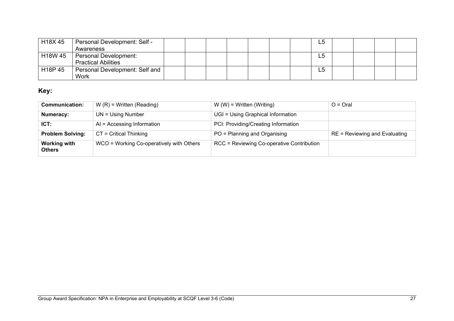| H18X45  | Personal Development: Self -   |  |  |  | L5             |  |  |
|---------|--------------------------------|--|--|--|----------------|--|--|
|         | Awareness                      |  |  |  |                |  |  |
| H18W 45 | Personal Development:          |  |  |  | L5             |  |  |
|         | <b>Practical Abilities</b>     |  |  |  |                |  |  |
| H18P 45 | Personal Development: Self and |  |  |  | L <sub>5</sub> |  |  |
|         | Work                           |  |  |  |                |  |  |

# **Key:**

| <b>Communication:</b>                | $W(R)$ = Written (Reading)               | $W(W)$ = Written (Writing)                | $O = Q$ ral                     |
|--------------------------------------|------------------------------------------|-------------------------------------------|---------------------------------|
| Numeracy:                            | $UN = Using Number$                      | UGI = Using Graphical Information         |                                 |
| ICT:                                 | $AI = Accessing Information$             | PCI: Providing/Creating Information       |                                 |
| <b>Problem Solving:</b>              | $CT = Critical Thinking$                 | PO = Planning and Organising              | $RE = Reviewing$ and Evaluating |
| <b>Working with</b><br><b>Others</b> | WCO = Working Co-operatively with Others | RCC = Reviewing Co-operative Contribution |                                 |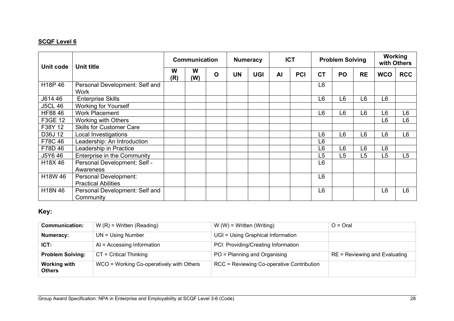| Unit code            | <b>Unit title</b>                                   | <b>Communication</b> |          | <b>Numeracy</b> |           | <b>ICT</b> |    | <b>Problem Solving</b> |                |    | <b>Working</b><br>with Others |                |                |
|----------------------|-----------------------------------------------------|----------------------|----------|-----------------|-----------|------------|----|------------------------|----------------|----|-------------------------------|----------------|----------------|
|                      |                                                     |                      | W<br>(W) | $\mathbf O$     | <b>UN</b> | <b>UGI</b> | AI | <b>PCI</b>             | <b>CT</b>      | PO | <b>RE</b>                     | <b>WCO</b>     | <b>RCC</b>     |
| H <sub>18</sub> P 46 | Personal Development: Self and<br><b>Work</b>       |                      |          |                 |           |            |    |                        | L <sub>6</sub> |    |                               |                |                |
| J614 46              | <b>Enterprise Skills</b>                            |                      |          |                 |           |            |    |                        | L <sub>6</sub> | L6 | L6                            | L6             |                |
| <b>J5CL 46</b>       | <b>Working for Yourself</b>                         |                      |          |                 |           |            |    |                        |                |    |                               |                |                |
| HF88 46              | <b>Work Placement</b>                               |                      |          |                 |           |            |    |                        | L <sub>6</sub> | L6 | L6                            | L <sub>6</sub> | L <sub>6</sub> |
| F3GE 12              | Working with Others                                 |                      |          |                 |           |            |    |                        |                |    |                               | L <sub>6</sub> | L <sub>6</sub> |
| F38Y 12              | <b>Skills for Customer Care</b>                     |                      |          |                 |           |            |    |                        |                |    |                               |                |                |
| D36J 12              | Local Investigations                                |                      |          |                 |           |            |    |                        | L <sub>6</sub> | L6 | L6                            | L <sub>6</sub> | L <sub>6</sub> |
| F78C46               | Leadership: An Introduction                         |                      |          |                 |           |            |    |                        | L <sub>6</sub> |    |                               |                |                |
| F78D 46              | Leadership in Practice                              |                      |          |                 |           |            |    |                        | L6             | L6 | L6                            | L6             |                |
| J5Y6 46              | <b>Enterprise in the Community</b>                  |                      |          |                 |           |            |    |                        | L5             | L5 | L <sub>5</sub>                | L5             | L5             |
| H18X46               | Personal Development: Self -<br>Awareness           |                      |          |                 |           |            |    |                        | L <sub>6</sub> |    |                               |                |                |
| H18W 46              | Personal Development:<br><b>Practical Abilities</b> |                      |          |                 |           |            |    |                        | L <sub>6</sub> |    |                               |                |                |
| H18N 46              | Personal Development: Self and<br>Community         |                      |          |                 |           |            |    |                        | L <sub>6</sub> |    |                               | L <sub>6</sub> | L <sub>6</sub> |

## **Key:**

| <b>Communication:</b>                | $W(R)$ = Written (Reading)               | $W(W)$ = Written (Writing)                | $O = Q$ ral                     |
|--------------------------------------|------------------------------------------|-------------------------------------------|---------------------------------|
| Numeracy:                            | $UN = Using Number$                      | UGI = Using Graphical Information         |                                 |
| ICT:                                 | $AI = Accessing Information$             | PCI: Providing/Creating Information       |                                 |
| <b>Problem Solving:</b>              | $CT = Critical Thinking$                 | PO = Planning and Organising              | $RE = Reviewing$ and Evaluating |
| <b>Working with</b><br><b>Others</b> | WCO = Working Co-operatively with Others | RCC = Reviewing Co-operative Contribution |                                 |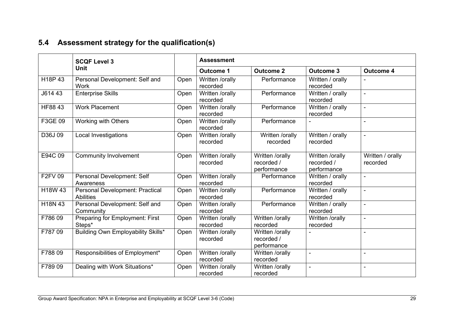# **5.4 Assessment strategy for the qualification(s)**

<span id="page-30-0"></span>

|                      | <b>SCQF Level 3</b>                                 |      | <b>Assessment</b>           |                                              |                                              |                              |
|----------------------|-----------------------------------------------------|------|-----------------------------|----------------------------------------------|----------------------------------------------|------------------------------|
|                      | Unit                                                |      | <b>Outcome 1</b>            | <b>Outcome 2</b>                             | <b>Outcome 3</b>                             | <b>Outcome 4</b>             |
| H <sub>18</sub> P 43 | Personal Development: Self and<br>Work              | Open | Written /orally<br>recorded | Performance                                  | Written / orally<br>recorded                 |                              |
| J614 43              | <b>Enterprise Skills</b>                            | Open | Written /orally<br>recorded | Performance                                  | Written / orally<br>recorded                 | $\blacksquare$               |
| HF88 43              | <b>Work Placement</b>                               | Open | Written /orally<br>recorded | Performance                                  | Written / orally<br>recorded                 | $\blacksquare$               |
| F3GE 09              | Working with Others                                 | Open | Written /orally<br>recorded | Performance                                  |                                              | $\blacksquare$               |
| D36J09               | <b>Local Investigations</b>                         | Open | Written /orally<br>recorded | Written /orally<br>recorded                  | Written / orally<br>recorded                 | $\blacksquare$               |
| E94C 09              | <b>Community Involvement</b>                        | Open | Written /orally<br>recorded | Written /orally<br>recorded /<br>performance | Written /orally<br>recorded /<br>performance | Written / orally<br>recorded |
| <b>F2FV 09</b>       | Personal Development: Self<br>Awareness             | Open | Written /orally<br>recorded | Performance                                  | Written / orally<br>recorded                 | $\blacksquare$               |
| H18W 43              | Personal Development: Practical<br><b>Abilities</b> | Open | Written /orally<br>recorded | Performance                                  | Written / orally<br>recorded                 | $\blacksquare$               |
| H18N 43              | Personal Development: Self and<br>Community         | Open | Written /orally<br>recorded | Performance                                  | Written / orally<br>recorded                 | $\blacksquare$               |
| F78609               | Preparing for Employment: First<br>Steps*           | Open | Written /orally<br>recorded | Written /orally<br>recorded                  | Written /orally<br>recorded                  | $\blacksquare$               |
| F78709               | Building Own Employability Skills*                  | Open | Written /orally<br>recorded | Written /orally<br>recorded /<br>performance |                                              | $\overline{a}$               |
| F78809               | Responsibilities of Employment*                     | Open | Written /orally<br>recorded | Written /orally<br>recorded                  | $\blacksquare$                               | $\blacksquare$               |
| F78909               | Dealing with Work Situations*                       | Open | Written /orally<br>recorded | Written /orally<br>recorded                  | $\blacksquare$                               | $\blacksquare$               |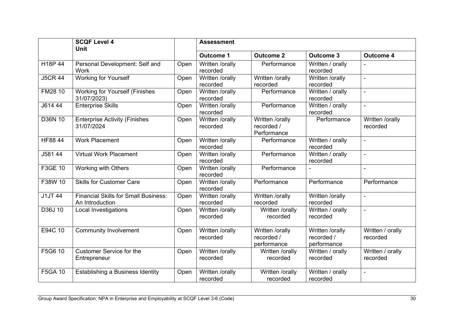|                | <b>SCQF Level 4</b><br><b>Unit</b>                             |      | <b>Assessment</b>           |                                              |                                              |                              |
|----------------|----------------------------------------------------------------|------|-----------------------------|----------------------------------------------|----------------------------------------------|------------------------------|
|                |                                                                |      | <b>Outcome 1</b>            | <b>Outcome 2</b>                             | <b>Outcome 3</b>                             | <b>Outcome 4</b>             |
| H18P 44        | Personal Development: Self and<br><b>Work</b>                  | Open | Written /orally<br>recorded | Performance                                  | Written / orally<br>recorded                 | ÷,                           |
| <b>J5CR 44</b> | <b>Working for Yourself</b>                                    | Open | Written /orally<br>recorded | Written /orally<br>recorded                  | Written /orally<br>recorded                  | $\blacksquare$               |
| FM28 10        | <b>Working for Yourself (Finishes</b><br>31/07/2023)           | Open | Written /orally<br>recorded | Performance                                  | Written / orally<br>recorded                 | $\blacksquare$               |
| J614 44        | <b>Enterprise Skills</b>                                       | Open | Written /orally<br>recorded | Performance                                  | Written / orally<br>recorded                 | $\blacksquare$               |
| D36N 10        | <b>Enterprise Activity (Finishes</b><br>31/07/2024             | Open | Written /orally<br>recorded | Written /orally<br>recorded /<br>Performance | Performance                                  | Written /orally<br>recorded  |
| <b>HF8844</b>  | <b>Work Placement</b>                                          | Open | Written /orally<br>recorded | Performance                                  | Written / orally<br>recorded                 | $\blacksquare$               |
| J581 44        | <b>Virtual Work Placement</b>                                  | Open | Written /orally<br>recorded | Performance                                  | Written / orally<br>recorded                 | $\blacksquare$               |
| F3GE 10        | Working with Others                                            | Open | Written /orally<br>recorded | Performance                                  |                                              | $\blacksquare$               |
| F38W 10        | <b>Skills for Customer Care</b>                                | Open | Written /orally<br>recorded | Performance                                  | Performance                                  | Performance                  |
| J1JT 44        | <b>Financial Skills for Small Business:</b><br>An Introduction | Open | Written /orally<br>recorded | Written /orally<br>recorded                  | Written /orally<br>recorded                  | $\blacksquare$               |
| D36J 10        | <b>Local Investigations</b>                                    | Open | Written /orally<br>recorded | Written /orally<br>recorded                  | Written / orally<br>recorded                 | $\blacksquare$               |
| E94C 10        | <b>Community Involvement</b>                                   | Open | Written /orally<br>recorded | Written /orally<br>recorded /<br>performance | Written /orally<br>recorded /<br>performance | Written / orally<br>recorded |
| F5G6 10        | <b>Customer Service for the</b><br>Entrepreneur                | Open | Written /orally<br>recorded | Written /orally<br>recorded                  | Written / orally<br>recorded                 | Written / orally<br>recorded |
| <b>F5GA 10</b> | Establishing a Business Identity                               | Open | Written /orally<br>recorded | Written /orally<br>recorded                  | Written / orally<br>recorded                 | $\blacksquare$               |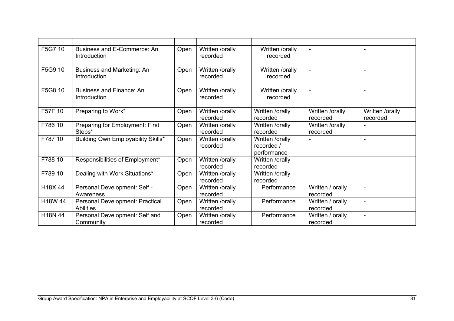| F5G7 10 | Business and E-Commerce: An<br>Introduction         | Open | Written /orally<br>recorded | Written /orally<br>recorded                  | $\blacksquare$               | $\blacksquare$              |
|---------|-----------------------------------------------------|------|-----------------------------|----------------------------------------------|------------------------------|-----------------------------|
| F5G9 10 | Business and Marketing: An<br>Introduction          | Open | Written /orally<br>recorded | Written /orally<br>recorded                  | $\blacksquare$               | $\blacksquare$              |
| F5G8 10 | <b>Business and Finance: An</b><br>Introduction     | Open | Written /orally<br>recorded | Written /orally<br>recorded                  |                              |                             |
| F57F 10 | Preparing to Work*                                  | Open | Written /orally<br>recorded | Written /orally<br>recorded                  | Written /orally<br>recorded  | Written /orally<br>recorded |
| F786 10 | Preparing for Employment: First<br>Steps*           | Open | Written /orally<br>recorded | Written /orally<br>recorded                  | Written /orally<br>recorded  |                             |
| F787 10 | Building Own Employability Skills*                  | Open | Written /orally<br>recorded | Written /orally<br>recorded /<br>performance |                              | ÷.                          |
| F788 10 | Responsibilities of Employment*                     | Open | Written /orally<br>recorded | Written /orally<br>recorded                  | $\sim$                       | $\blacksquare$              |
| F789 10 | Dealing with Work Situations*                       | Open | Written /orally<br>recorded | Written /orally<br>recorded                  |                              | $\blacksquare$              |
| H18X44  | Personal Development: Self -<br>Awareness           | Open | Written /orally<br>recorded | Performance                                  | Written / orally<br>recorded | $\blacksquare$              |
| H18W 44 | Personal Development: Practical<br><b>Abilities</b> | Open | Written /orally<br>recorded | Performance                                  | Written / orally<br>recorded | $\blacksquare$              |
| H18N 44 | Personal Development: Self and<br>Community         | Open | Written /orally<br>recorded | Performance                                  | Written / orally<br>recorded | $\blacksquare$              |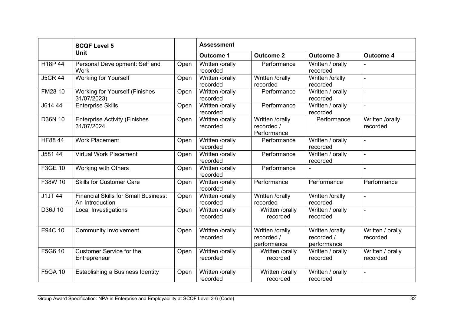|                                 | <b>SCQF Level 5</b>                                            |      | <b>Assessment</b>           |                                              |                                              |                              |
|---------------------------------|----------------------------------------------------------------|------|-----------------------------|----------------------------------------------|----------------------------------------------|------------------------------|
|                                 | <b>Unit</b>                                                    |      | <b>Outcome 1</b>            | <b>Outcome 2</b>                             | <b>Outcome 3</b>                             | <b>Outcome 4</b>             |
| H <sub>18</sub> P <sub>44</sub> | Personal Development: Self and<br>Work                         | Open | Written /orally<br>recorded | Performance                                  | Written / orally<br>recorded                 |                              |
| <b>J5CR 44</b>                  | <b>Working for Yourself</b>                                    | Open | Written /orally<br>recorded | Written /orally<br>recorded                  | Written /orally<br>recorded                  | $\blacksquare$               |
| FM28 10                         | <b>Working for Yourself (Finishes</b><br>31/07/2023)           | Open | Written /orally<br>recorded | Performance                                  | Written / orally<br>recorded                 | $\blacksquare$               |
| J614 44                         | <b>Enterprise Skills</b>                                       | Open | Written /orally<br>recorded | Performance                                  | Written / orally<br>recorded                 | $\blacksquare$               |
| D36N 10                         | <b>Enterprise Activity (Finishes</b><br>31/07/2024             | Open | Written /orally<br>recorded | Written /orally<br>recorded /<br>Performance | Performance                                  | Written /orally<br>recorded  |
| HF88 44                         | <b>Work Placement</b>                                          | Open | Written /orally<br>recorded | Performance                                  | Written / orally<br>recorded                 | $\blacksquare$               |
| J581 44                         | <b>Virtual Work Placement</b>                                  | Open | Written /orally<br>recorded | Performance                                  | Written / orally<br>recorded                 | $\blacksquare$               |
| F3GE 10                         | Working with Others                                            | Open | Written /orally<br>recorded | Performance                                  |                                              | $\overline{\phantom{a}}$     |
| F38W 10                         | <b>Skills for Customer Care</b>                                | Open | Written /orally<br>recorded | Performance                                  | Performance                                  | Performance                  |
| <b>J1JT 44</b>                  | <b>Financial Skills for Small Business:</b><br>An Introduction | Open | Written /orally<br>recorded | Written /orally<br>recorded                  | Written /orally<br>recorded                  | $\blacksquare$               |
| D36J 10                         | <b>Local Investigations</b>                                    | Open | Written /orally<br>recorded | Written /orally<br>recorded                  | Written / orally<br>recorded                 | $\blacksquare$               |
| E94C 10                         | <b>Community Involvement</b>                                   | Open | Written /orally<br>recorded | Written /orally<br>recorded /<br>performance | Written /orally<br>recorded /<br>performance | Written / orally<br>recorded |
| F5G6 10                         | <b>Customer Service for the</b><br>Entrepreneur                | Open | Written /orally<br>recorded | Written /orally<br>recorded                  | Written / orally<br>recorded                 | Written / orally<br>recorded |
| F5GA 10                         | Establishing a Business Identity                               | Open | Written /orally<br>recorded | Written /orally<br>recorded                  | Written / orally<br>recorded                 | $\blacksquare$               |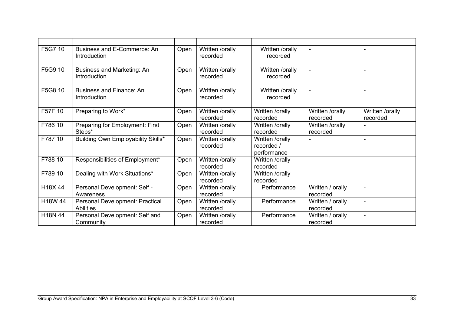| F5G7 10 | Business and E-Commerce: An<br>Introduction         | Open | Written /orally<br>recorded | Written /orally<br>recorded                  |                              | $\blacksquare$              |
|---------|-----------------------------------------------------|------|-----------------------------|----------------------------------------------|------------------------------|-----------------------------|
| F5G9 10 | Business and Marketing: An<br>Introduction          | Open | Written /orally<br>recorded | Written /orally<br>recorded                  | $\blacksquare$               | ۰                           |
| F5G8 10 | <b>Business and Finance: An</b><br>Introduction     | Open | Written /orally<br>recorded | Written /orally<br>recorded                  | $\blacksquare$               |                             |
| F57F 10 | Preparing to Work*                                  | Open | Written /orally<br>recorded | Written /orally<br>recorded                  | Written /orally<br>recorded  | Written /orally<br>recorded |
| F786 10 | Preparing for Employment: First<br>Steps*           | Open | Written /orally<br>recorded | Written /orally<br>recorded                  | Written /orally<br>recorded  |                             |
| F787 10 | Building Own Employability Skills*                  | Open | Written /orally<br>recorded | Written /orally<br>recorded /<br>performance |                              | $\blacksquare$              |
| F788 10 | Responsibilities of Employment*                     | Open | Written /orally<br>recorded | Written /orally<br>recorded                  | $\sim$                       | $\blacksquare$              |
| F789 10 | Dealing with Work Situations*                       | Open | Written /orally<br>recorded | Written /orally<br>recorded                  |                              | ۰                           |
| H18X 44 | Personal Development: Self -<br>Awareness           | Open | Written /orally<br>recorded | Performance                                  | Written / orally<br>recorded | $\blacksquare$              |
| H18W 44 | Personal Development: Practical<br><b>Abilities</b> | Open | Written /orally<br>recorded | Performance                                  | Written / orally<br>recorded | $\blacksquare$              |
| H18N 44 | Personal Development: Self and<br>Community         | Open | Written /orally<br>recorded | Performance                                  | Written / orally<br>recorded | $\blacksquare$              |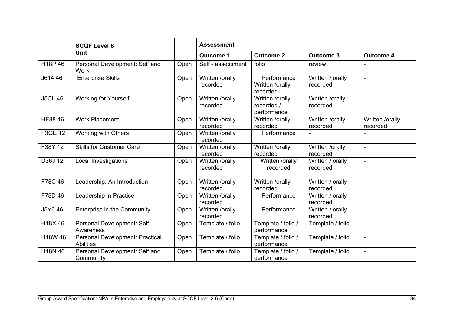|                | <b>SCQF Level 6</b><br><b>Unit</b>                         |      | <b>Assessment</b>           |                                              |                              |                             |
|----------------|------------------------------------------------------------|------|-----------------------------|----------------------------------------------|------------------------------|-----------------------------|
|                |                                                            |      | <b>Outcome 1</b>            | <b>Outcome 2</b>                             | <b>Outcome 3</b>             | <b>Outcome 4</b>            |
| H18P 46        | Personal Development: Self and<br>Work                     | Open | Self - assessment           | folio                                        | review                       |                             |
| J614 46        | <b>Enterprise Skills</b>                                   | Open | Written /orally<br>recorded | Performance<br>Written /orally<br>recorded   | Written / orally<br>recorded | $\blacksquare$              |
| <b>J5CL 46</b> | <b>Working for Yourself</b>                                | Open | Written /orally<br>recorded | Written /orally<br>recorded /<br>performance | Written /orally<br>recorded  | $\blacksquare$              |
| HF88 46        | <b>Work Placement</b>                                      | Open | Written /orally<br>recorded | Written /orally<br>recorded                  | Written /orally<br>recorded  | Written /orally<br>recorded |
| F3GE 12        | Working with Others                                        | Open | Written /orally<br>recorded | Performance                                  |                              |                             |
| F38Y 12        | <b>Skills for Customer Care</b>                            | Open | Written /orally<br>recorded | Written /orally<br>recorded                  | Written /orally<br>recorded  | $\blacksquare$              |
| D36J 12        | Local Investigations                                       | Open | Written /orally<br>recorded | Written /orally<br>recorded                  | Written / orally<br>recorded | $\blacksquare$              |
| F78C 46        | Leadership: An Introduction                                | Open | Written /orally<br>recorded | Written /orally<br>recorded                  | Written / orally<br>recorded | $\blacksquare$              |
| F78D 46        | Leadership in Practice                                     | Open | Written /orally<br>recorded | Performance                                  | Written / orally<br>recorded | $\blacksquare$              |
| J5Y6 46        | Enterprise in the Community                                | Open | Written /orally<br>recorded | Performance                                  | Written / orally<br>recorded | $\blacksquare$              |
| H18X46         | Personal Development: Self -<br>Awareness                  | Open | Template / folio            | Template / folio /<br>performance            | Template / folio             | $\blacksquare$              |
| H18W 46        | <b>Personal Development: Practical</b><br><b>Abilities</b> | Open | Template / folio            | Template / folio /<br>performance            | Template / folio             | $\blacksquare$              |
| H18N 46        | Personal Development: Self and<br>Community                | Open | Template / folio            | Template / folio /<br>performance            | Template / folio             | $\blacksquare$              |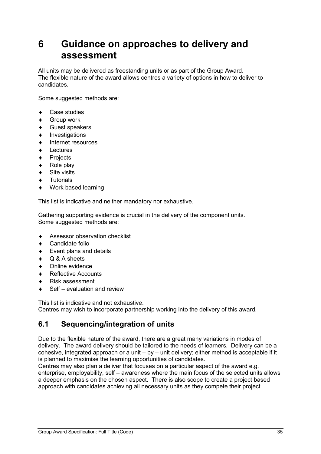# <span id="page-36-0"></span>**6 Guidance on approaches to delivery and assessment**

All units may be delivered as freestanding units or as part of the Group Award. The flexible nature of the award allows centres a variety of options in how to deliver to candidates.

Some suggested methods are:

- ♦ Case studies
- **Group work**
- ♦ Guest speakers
- ♦ Investigations
- ♦ Internet resources
- Lectures
- Projects
- Role play
- Site visits
- Tutorials
- ♦ Work based learning

This list is indicative and neither mandatory nor exhaustive.

Gathering supporting evidence is crucial in the delivery of the component units. Some suggested methods are:

- ♦ Assessor observation checklist
- Candidate folio
- ♦ Event plans and details
- Q & A sheets
- Online evidence
- **Reflective Accounts**
- Risk assessment
- Self evaluation and review

This list is indicative and not exhaustive.

Centres may wish to incorporate partnership working into the delivery of this award.

## <span id="page-36-1"></span>**6.1 Sequencing/integration of units**

Due to the flexible nature of the award, there are a great many variations in modes of delivery. The award delivery should be tailored to the needs of learners. Delivery can be a cohesive, integrated approach or a unit – by – unit delivery; either method is acceptable if it is planned to maximise the learning opportunities of candidates.

Centres may also plan a deliver that focuses on a particular aspect of the award e.g. enterprise, employability, self – awareness where the main focus of the selected units allows a deeper emphasis on the chosen aspect. There is also scope to create a project based approach with candidates achieving all necessary units as they compete their project.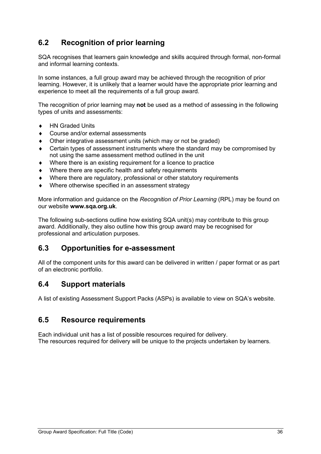# <span id="page-37-0"></span>**6.2 Recognition of prior learning**

SQA recognises that learners gain knowledge and skills acquired through formal, non-formal and informal learning contexts.

In some instances, a full group award may be achieved through the recognition of prior learning. However, it is unlikely that a learner would have the appropriate prior learning and experience to meet all the requirements of a full group award.

The recognition of prior learning may **not** be used as a method of assessing in the following types of units and assessments:

- ♦ HN Graded Units
- Course and/or external assessments
- Other integrative assessment units (which may or not be graded)
- Certain types of assessment instruments where the standard may be compromised by not using the same assessment method outlined in the unit
- Where there is an existing requirement for a licence to practice
- Where there are specific health and safety requirements
- Where there are regulatory, professional or other statutory requirements
- Where otherwise specified in an assessment strategy

More information and guidance on the *Recognition of Prior Learning* (RPL) may be found on our website **[www.sqa.org.uk](http://www.sqa.org.uk/)**.

The following sub-sections outline how existing SQA unit(s) may contribute to this group award. Additionally, they also outline how this group award may be recognised for professional and articulation purposes.

## <span id="page-37-1"></span>**6.3 Opportunities for e-assessment**

All of the component units for this award can be delivered in written / paper format or as part of an electronic portfolio.

### <span id="page-37-2"></span>**6.4 Support materials**

A [list of existing Assessment Support Packs \(ASPs\)](http://www.sqa.org.uk/sqa/46233.2769.html) is available to view on SQA's website.

### <span id="page-37-3"></span>**6.5 Resource requirements**

Each individual unit has a list of possible resources required for delivery. The resources required for delivery will be unique to the projects undertaken by learners.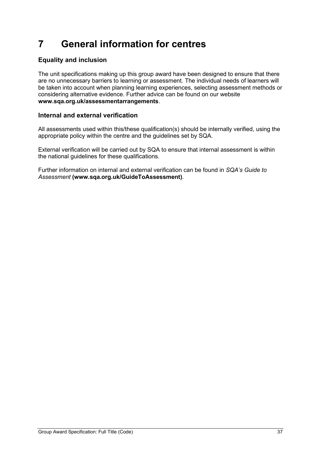# <span id="page-38-0"></span>**7 General information for centres**

### **Equality and inclusion**

The unit specifications making up this group award have been designed to ensure that there are no unnecessary barriers to learning or assessment. The individual needs of learners will be taken into account when planning learning experiences, selecting assessment methods or considering alternative evidence. Further advice can be found on our website **[www.sqa.org.uk/assessmentarrangements](http://www.sqa.org.uk/sqa/14977.html)**.

### **Internal and external verification**

All assessments used within this/these qualification(s) should be internally verified, using the appropriate policy within the centre and the guidelines set by SQA.

External verification will be carried out by SQA to ensure that internal assessment is within the national guidelines for these qualifications.

Further information on internal and external verification can be found in *SQA's Guide to Assessment* **[\(www.sqa.org.uk/GuideToAssessment\)](http://www.sqa.org.uk/sqa/files_ccc/GuideToAssessment.pdf)**.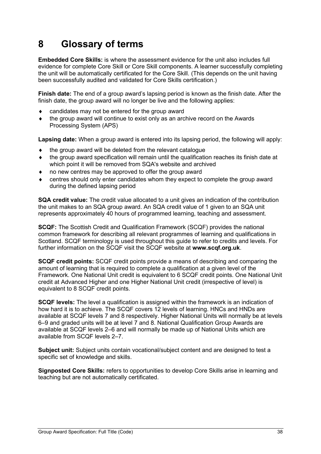# <span id="page-39-0"></span>**8 Glossary of terms**

**Embedded Core Skills:** is where the assessment evidence for the unit also includes full evidence for complete Core Skill or Core Skill components. A learner successfully completing the unit will be automatically certificated for the Core Skill. (This depends on the unit having been successfully audited and validated for Core Skills certification.)

**Finish date:** The end of a group award's lapsing period is known as the finish date. After the finish date, the group award will no longer be live and the following applies:

- candidates may not be entered for the group award
- the group award will continue to exist only as an archive record on the Awards Processing System (APS)

**Lapsing date:** When a group award is entered into its lapsing period, the following will apply:

- the group award will be deleted from the relevant catalogue
- the group award specification will remain until the qualification reaches its finish date at which point it will be removed from SQA's website and archived
- no new centres may be approved to offer the group award
- centres should only enter candidates whom they expect to complete the group award during the defined lapsing period

**SQA credit value:** The credit value allocated to a unit gives an indication of the contribution the unit makes to an SQA group award. An SQA credit value of 1 given to an SQA unit represents approximately 40 hours of programmed learning, teaching and assessment.

**SCQF:** The Scottish Credit and Qualification Framework (SCQF) provides the national common framework for describing all relevant programmes of learning and qualifications in Scotland. SCQF terminology is used throughout this guide to refer to credits and levels. For further information on the SCQF visit the SCQF website at **[www.scqf.org.uk](http://www.scqf.org.uk/)**.

**SCQF credit points:** SCQF credit points provide a means of describing and comparing the amount of learning that is required to complete a qualification at a given level of the Framework. One National Unit credit is equivalent to 6 SCQF credit points. One National Unit credit at Advanced Higher and one Higher National Unit credit (irrespective of level) is equivalent to 8 SCQF credit points.

**SCQF levels:** The level a qualification is assigned within the framework is an indication of how hard it is to achieve. The SCQF covers 12 levels of learning. HNCs and HNDs are available at SCQF levels 7 and 8 respectively. Higher National Units will normally be at levels 6–9 and graded units will be at level 7 and 8. National Qualification Group Awards are available at SCQF levels 2–6 and will normally be made up of National Units which are available from SCQF levels 2–7.

**Subject unit:** Subject units contain vocational/subject content and are designed to test a specific set of knowledge and skills.

**Signposted Core Skills:** refers to opportunities to develop Core Skills arise in learning and teaching but are not automatically certificated.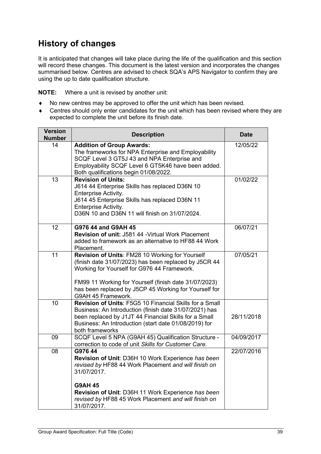# **History of changes**

It is anticipated that changes will take place during the life of the qualification and this section will record these changes. This document is the latest version and incorporates the changes summarised below. Centres are advised to check SQA's APS Navigator to confirm they are using the up to date qualification structure.

**NOTE:** Where a unit is revised by another unit:

- ♦ No new centres may be approved to offer the unit which has been revised.
- ♦ Centres should only enter candidates for the unit which has been revised where they are expected to complete the unit before its finish date.

| <b>Version</b><br><b>Number</b> | <b>Description</b>                                                                                                                                                                                                                                                                              | <b>Date</b> |
|---------------------------------|-------------------------------------------------------------------------------------------------------------------------------------------------------------------------------------------------------------------------------------------------------------------------------------------------|-------------|
| 14                              | <b>Addition of Group Awards:</b><br>The frameworks for NPA Enterprise and Employability<br>SCQF Level 3 GT5J 43 and NPA Enterprise and<br>Employability SCQF Level 6 GT5K46 have been added.<br>Both qualifications begin 01/08/2022.                                                           | 12/05/22    |
| 13                              | <b>Revision of Units:</b><br>J614 44 Enterprise Skills has replaced D36N 10<br><b>Enterprise Activity.</b><br>J614 45 Enterprise Skills has replaced D36N 11<br>Enterprise Activity.<br>D36N 10 and D36N 11 will finish on 31/07/2024.                                                          | 01/02/22    |
| 12                              | G976 44 and G9AH 45<br><b>Revision of unit: J581 44 - Virtual Work Placement</b><br>added to framework as an alternative to HF88 44 Work<br>Placement.                                                                                                                                          | 06/07/21    |
| $\overline{11}$                 | Revision of Units: FM28 10 Working for Yourself<br>(finish date 31/07/2023) has been replaced by J5CR 44<br>Working for Yourself for G976 44 Framework.<br>FM99 11 Working for Yourself (finish date 31/07/2023)<br>has been replaced by J5CP 45 Working for Yourself for<br>G9AH 45 Framework. | 07/05/21    |
| 10                              | Revision of Units: F5G5 10 Financial Skills for a Small<br>Business: An Introduction (finish date 31/07/2021) has<br>been replaced by J1JT 44 Financial Skills for a Small<br>Business: An Introduction (start date 01/08/2019) for<br>both frameworks                                          | 28/11/2018  |
| 09                              | SCQF Level 5 NPA (G9AH 45) Qualification Structure -<br>correction to code of unit Skills for Customer Care.                                                                                                                                                                                    | 04/09/2017  |
| 08                              | G976 44<br>Revision of Unit: D36H 10 Work Experience has been<br>revised by HF88 44 Work Placement and will finish on<br>31/07/2017.<br><b>G9AH 45</b><br><b>Revision of Unit: D36H 11 Work Experience has been</b><br>revised by HF88 45 Work Placement and will finish on<br>31/07/2017.      | 22/07/2016  |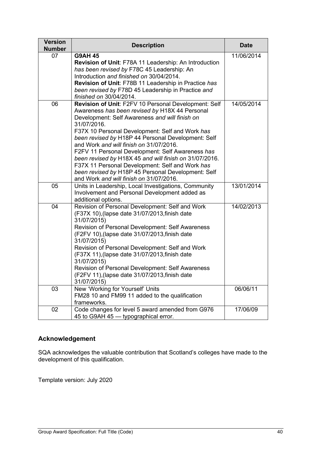| <b>Version</b><br><b>Number</b> | <b>Description</b>                                                                                                                                                                                                                                                                                                                                                                                                                                                                                                                                                                            | <b>Date</b> |
|---------------------------------|-----------------------------------------------------------------------------------------------------------------------------------------------------------------------------------------------------------------------------------------------------------------------------------------------------------------------------------------------------------------------------------------------------------------------------------------------------------------------------------------------------------------------------------------------------------------------------------------------|-------------|
| 07                              | <b>G9AH 45</b><br>Revision of Unit: F78A 11 Leadership: An Introduction<br>has been revised by F78C 45 Leadership: An<br>Introduction and finished on 30/04/2014.<br>Revision of Unit: F78B 11 Leadership in Practice has<br>been revised by F78D 45 Leadership in Practice and<br>finished on 30/04/2014.                                                                                                                                                                                                                                                                                    | 11/06/2014  |
| 06                              | Revision of Unit: F2FV 10 Personal Development: Self<br>Awareness has been revised by H18X 44 Personal<br>Development: Self Awareness and will finish on<br>31/07/2016.<br>F37X 10 Personal Development: Self and Work has<br>been revised by H18P 44 Personal Development: Self<br>and Work and will finish on 31/07/2016.<br>F2FV 11 Personal Development: Self Awareness has<br>been revised by H18X 45 and will finish on 31/07/2016.<br>F37X 11 Personal Development: Self and Work has<br>been revised by H18P 45 Personal Development: Self<br>and Work and will finish on 31/07/2016. | 14/05/2014  |
| 05                              | Units in Leadership, Local Investigations, Community<br>Involvement and Personal Development added as<br>additional options.                                                                                                                                                                                                                                                                                                                                                                                                                                                                  | 13/01/2014  |
| 04                              | Revision of Personal Development: Self and Work<br>(F37X 10), (lapse date 31/07/2013, finish date<br>31/07/2015)<br><b>Revision of Personal Development: Self Awareness</b><br>(F2FV 10), (lapse date 31/07/2013, finish date<br>31/07/2015)<br>Revision of Personal Development: Self and Work<br>(F37X 11), (lapse date 31/07/2013, finish date<br>31/07/2015)<br>Revision of Personal Development: Self Awareness<br>(F2FV 11), (lapse date 31/07/2013, finish date<br>31/07/2015)                                                                                                         | 14/02/2013  |
| 03                              | New 'Working for Yourself' Units<br>FM28 10 and FM99 11 added to the qualification<br>frameworks.                                                                                                                                                                                                                                                                                                                                                                                                                                                                                             | 06/06/11    |
| 02                              | Code changes for level 5 award amended from G976<br>45 to G9AH 45 - typographical error.                                                                                                                                                                                                                                                                                                                                                                                                                                                                                                      | 17/06/09    |

### **Acknowledgement**

SQA acknowledges the valuable contribution that Scotland's colleges have made to the development of this qualification.

Template version: July 2020